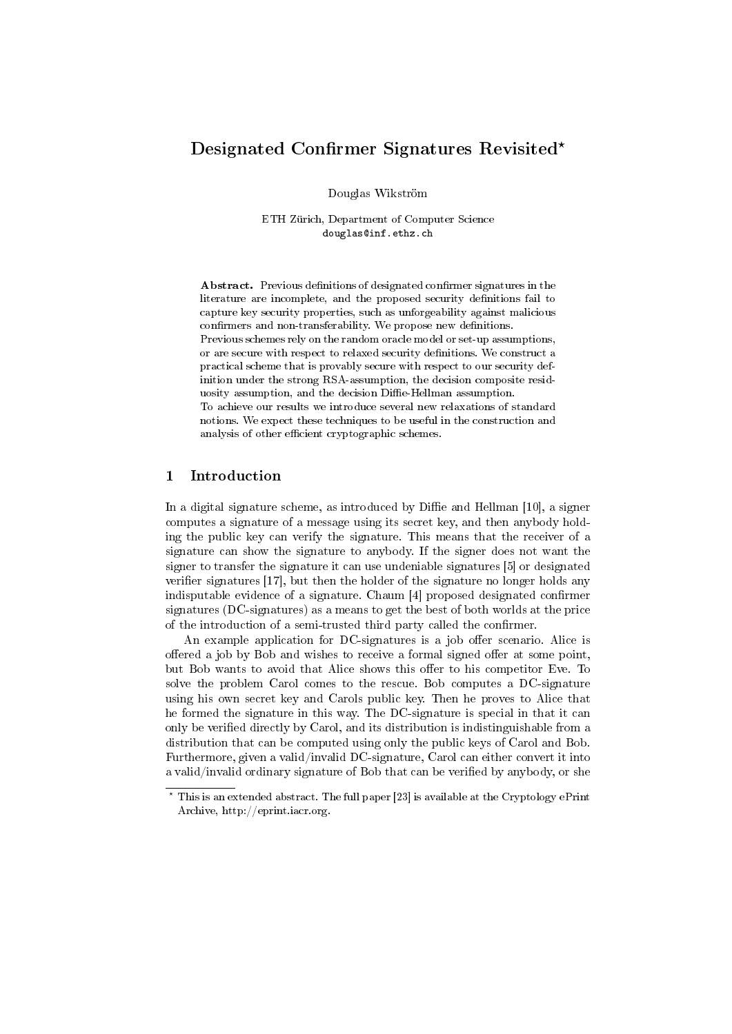# Designated Confirmer Signatures Revisited<sup>\*</sup>

Douglas Wikström

ETH Zürich, Department of Computer Science douglas@inf.ethz.ch

Abstract. Previous definitions of designated confirmer signatures in the literature are incomplete, and the proposed security definitions fail to capture key security properties, such as unforgeability against malicious confirmers and non-transferability. We propose new definitions.

Previous schemes rely on the random oracle model or set-up assumptions, or are secure with respect to relaxed security denitions. We construct a practical scheme that is provably secure with respect to our security definition under the strong RSA-assumption, the decision composite residuosity assumption, and the decision Diffie-Hellman assumption.

To achieve our results we introduce several new relaxations of standard notions. We expect these techniques to be useful in the construction and analysis of other efficient cryptographic schemes.

# 1 Introduction

In a digital signature scheme, as introduced by Diffie and Hellman [10], a signer computes a signature of a message using its secret key, and then anybody holding the public key can verify the signature. This means that the receiver of a signature can show the signature to anybody. If the signer does not want the signer to transfer the signature it can use undeniable signatures [5] or designated verifier signatures  $[17]$ , but then the holder of the signature no longer holds any indisputable evidence of a signature. Chaum [4] proposed designated confirmer signatures (DC-signatures) as a means to get the best of both worlds at the price of the introduction of a semi-trusted third party called the confirmer.

An example application for DC-signatures is a job offer scenario. Alice is offered a job by Bob and wishes to receive a formal signed offer at some point, but Bob wants to avoid that Alice shows this offer to his competitor Eve. To solve the problem Carol comes to the rescue. Bob computes a DC-signature using his own secret key and Carols public key. Then he proves to Alice that he formed the signature in this way. The DC-signature is special in that it can only be verified directly by Carol, and its distribution is indistinguishable from a distribution that can be computed using only the public keys of Carol and Bob. Furthermore, given a valid/invalid DC-signature, Carol can either convert it into a valid/invalid ordinary signature of Bob that can be verified by anybody, or she

 $^\star$  This is an extended abstract. The full paper [23] is available at the Cryptology ePrint Archive, http://eprint.iacr.org.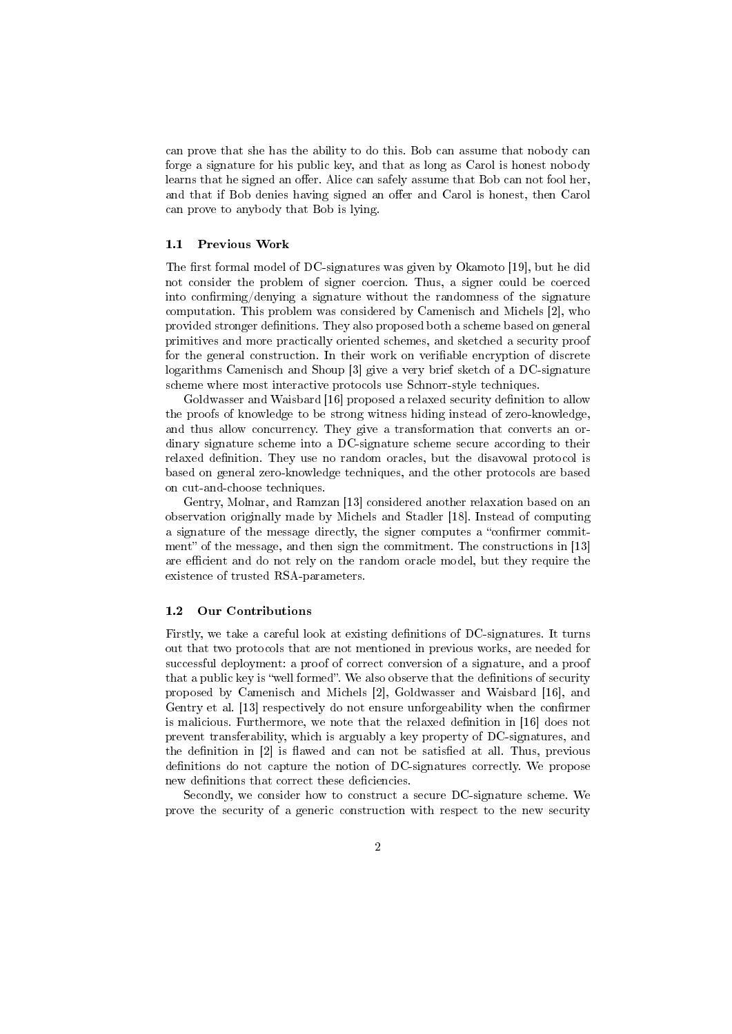can prove that she has the ability to do this. Bob can assume that nobody can forge a signature for his public key, and that as long as Carol is honest nobody learns that he signed an offer. Alice can safely assume that Bob can not fool her, and that if Bob denies having signed an offer and Carol is honest, then Carol can prove to anybody that Bob is lying.

### 1.1 Previous Work

The first formal model of DC-signatures was given by Okamoto [19], but he did not consider the problem of signer coercion. Thus, a signer could be coerced into confirming/denying a signature without the randomness of the signature computation. This problem was considered by Camenisch and Michels [2], who provided stronger definitions. They also proposed both a scheme based on general primitives and more practically oriented schemes, and sketched a security proof for the general construction. In their work on verifiable encryption of discrete logarithms Camenisch and Shoup [3] give a very brief sketch of a DC-signature scheme where most interactive protocols use Schnorr-style techniques.

Goldwasser and Waisbard [16] proposed a relaxed security definition to allow the proofs of knowledge to be strong witness hiding instead of zero-knowledge, and thus allow concurrency. They give a transformation that converts an ordinary signature scheme into a DC-signature scheme secure according to their relaxed definition. They use no random oracles, but the disavowal protocol is based on general zero-knowledge techniques, and the other protocols are based on cut-and-choose techniques.

Gentry, Molnar, and Ramzan [13] considered another relaxation based on an observation originally made by Michels and Stadler [18]. Instead of computing a signature of the message directly, the signer computes a "confirmer commitment" of the message, and then sign the commitment. The constructions in [13] are efficient and do not rely on the random oracle model, but they require the existence of trusted RSA-parameters.

# 1.2 Our Contributions

Firstly, we take a careful look at existing definitions of DC-signatures. It turns out that two protocols that are not mentioned in previous works, are needed for successful deployment: a proof of correct conversion of a signature, and a proof that a public key is "well formed". We also observe that the definitions of security proposed by Camenisch and Michels [2], Goldwasser and Waisbard [16], and Gentry et al. [13] respectively do not ensure unforgeability when the confirmer is malicious. Furthermore, we note that the relaxed denition in [16] does not prevent transferability, which is arguably a key property of DC-signatures, and the definition in [2] is flawed and can not be satisfied at all. Thus, previous definitions do not capture the notion of DC-signatures correctly. We propose new definitions that correct these deficiencies.

Secondly, we consider how to construct a secure DC-signature scheme. We prove the security of a generic construction with respect to the new security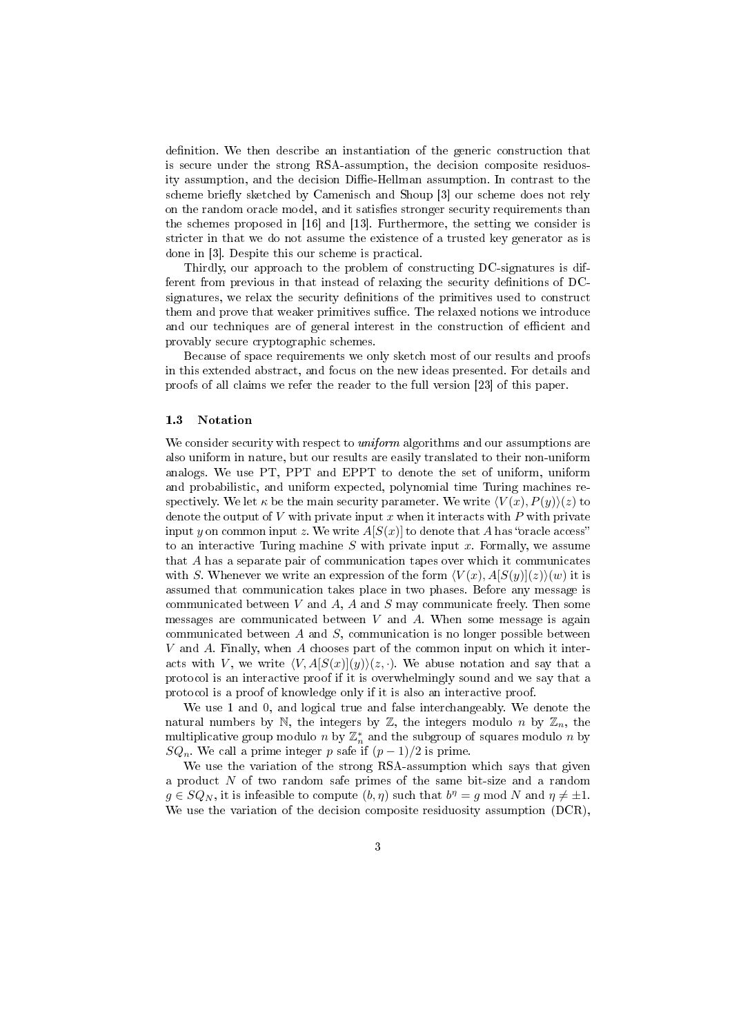definition. We then describe an instantiation of the generic construction that is secure under the strong RSA-assumption, the decision composite residuosity assumption, and the decision Diffie-Hellman assumption. In contrast to the scheme briefly sketched by Camenisch and Shoup [3] our scheme does not rely on the random oracle model, and it satisfies stronger security requirements than the schemes proposed in [16] and [13]. Furthermore, the setting we consider is stricter in that we do not assume the existence of a trusted key generator as is done in [3]. Despite this our scheme is practical.

Thirdly, our approach to the problem of constructing DC-signatures is different from previous in that instead of relaxing the security denitions of DCsignatures, we relax the security definitions of the primitives used to construct them and prove that weaker primitives suffice. The relaxed notions we introduce and our techniques are of general interest in the construction of efficient and provably secure cryptographic schemes.

Because of space requirements we only sketch most of our results and proofs in this extended abstract, and focus on the new ideas presented. For details and proofs of all claims we refer the reader to the full version [23] of this paper.

#### 1.3 Notation

We consider security with respect to *uniform* algorithms and our assumptions are also uniform in nature, but our results are easily translated to their non-uniform analogs. We use PT, PPT and EPPT to denote the set of uniform, uniform and probabilistic, and uniform expected, polynomial time Turing machines respectively. We let  $\kappa$  be the main security parameter. We write  $\langle V(x), P(y)\rangle(z)$  to denote the output of V with private input x when it interacts with P with private input y on common input z. We write  $A[S(x)]$  to denote that A has "oracle access" to an interactive Turing machine  $S$  with private input  $x$ . Formally, we assume that A has a separate pair of communication tapes over which it communicates with S. Whenever we write an expression of the form  $\langle V(x), A[S(y)](z)\rangle \langle w \rangle$  it is assumed that communication takes place in two phases. Before any message is communicated between  $V$  and  $A$ ,  $A$  and  $S$  may communicate freely. Then some messages are communicated between  $V$  and  $A$ . When some message is again communicated between  $A$  and  $S$ , communication is no longer possible between V and A. Finally, when A chooses part of the common input on which it interacts with V, we write  $\langle V, A[S(x)](y)\rangle(z, \cdot)$ . We abuse notation and say that a protocol is an interactive proof if it is overwhelmingly sound and we say that a protocol is a proof of knowledge only if it is also an interactive proof.

We use 1 and 0, and logical true and false interchangeably. We denote the natural numbers by N, the integers by Z, the integers modulo n by  $\mathbb{Z}_n$ , the multiplicative group modulo  $n$  by  $\mathbb{Z}_n^*$  and the subgroup of squares modulo  $n$  by  $SQ_n$ . We call a prime integer p safe if  $(p-1)/2$  is prime.

We use the variation of the strong RSA-assumption which says that given a product N of two random safe primes of the same bit-size and a random  $g \in SQ_N$ , it is infeasible to compute  $(b, \eta)$  such that  $b^{\eta} = g \mod N$  and  $\eta \neq \pm 1$ . We use the variation of the decision composite residuosity assumption  $(DCR)$ ,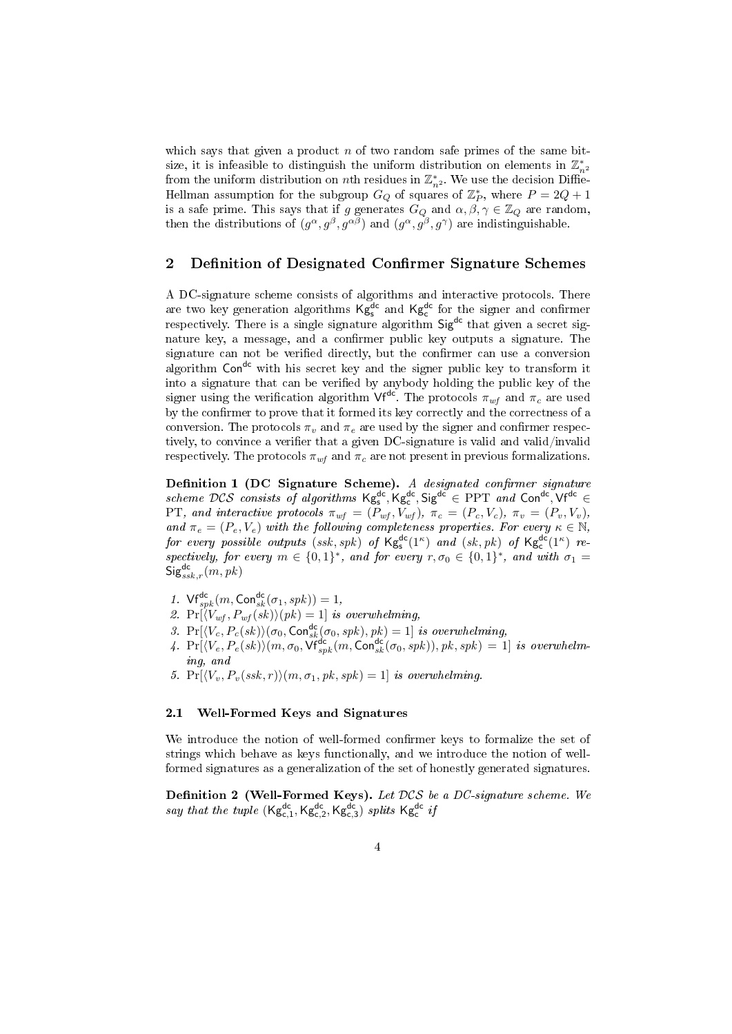which says that given a product n of two random safe primes of the same bitsize, it is infeasible to distinguish the uniform distribution on elements in  $\mathbb{Z}_{n^2}^*$ from the uniform distribution on nth residues in  $\mathbb{Z}_{n^2}^*$ . We use the decision Diffie-Hellman assumption for the subgroup  $G_Q$  of squares of  $\mathbb{Z}_P^*$ , where  $P = 2Q + 1$ is a safe prime. This says that if g generates  $G_Q$  and  $\alpha, \beta, \gamma \in \mathbb{Z}_Q$  are random, then the distributions of  $(g^{\alpha}, g^{\beta}, g^{\alpha\beta})$  and  $(g^{\alpha}, g^{\beta}, g^{\gamma})$  are indistinguishable.

# 2 Definition of Designated Confirmer Signature Schemes

A DC-signature scheme consists of algorithms and interactive protocols. There are two key generation algorithms  $\text{Kg}_{\text{s}}^{\text{dc}}$  and  $\text{Kg}_{\text{c}}^{\text{dc}}$  for the signer and confirmer respectively. There is a single signature algorithm  $\text{Sig}^{\text{dc}}$  that given a secret signature key, a message, and a confirmer public key outputs a signature. The signature can not be verified directly, but the confirmer can use a conversion algorithm  $Con^{dc}$  with his secret key and the signer public key to transform it into a signature that can be verified by anybody holding the public key of the signer using the verification algorithm Vf<sup>dc</sup>. The protocols  $\pi_{wf}$  and  $\pi_c$  are used by the confirmer to prove that it formed its key correctly and the correctness of a conversion. The protocols  $\pi_v$  and  $\pi_e$  are used by the signer and confirmer respectively, to convince a verifier that a given DC-signature is valid and valid/invalid respectively. The protocols  $\pi_{wf}$  and  $\pi_c$  are not present in previous formalizations.

**Definition 1 (DC Signature Scheme).** A designated confirmer signature scheme DCS consists of algorithms  $Kg_s^{dc}$ ,  $Kg_c^{dc}$ ,  $Sig^{dc}$   $\in$  PPT and Con<sup>dc</sup>, Vf<sup>dc</sup>  $\in$ PT, and interactive protocols  $\pi_{wf} = (P_{wf}, V_{wf}), \pi_c = (P_c, V_c), \pi_v = (P_v, V_v),$ and  $\pi_e = (P_e, V_e)$  with the following completeness properties. For every  $\kappa \in \mathbb{N}$ , for every possible outputs  $(ssk, spk)$  of  $\mathsf{Kg}_{\mathsf{s}}^{\mathsf{dc}}(1^{\kappa})$  and  $(sk, pk)$  of  $\mathsf{Kg}_{\mathsf{c}}^{\mathsf{dc}}(1^{\kappa})$  respectively, for every  $m \in \{0,1\}^*$ , and for every  $r, \sigma_0 \in \{0,1\}^*$ , and with  $\sigma_1 =$  $\mathsf{Sig}^{\mathsf{dc}}_{ssk,r}(m, pk)$ 

- 1.  $\mathsf{Vf}^{\mathsf{dc}}_{spk}(m, \mathsf{Con}^{\mathsf{dc}}_{sk}(\sigma_1, spk)) = 1,$
- 2.  $\Pr[\langle V_{wf}, P_{wf}(sk)\rangle(pk) = 1]$  is overwhelming,
- 3.  $Pr[\langle V_c, P_c(sk) \rangle (\sigma_0, \text{Con}^{\text{dc}}_{sk}(\sigma_0, spk), pk) = 1]$  is overwhelming,
- 4.  $Pr[\langle V_e, P_e (sk) \rangle (m, \sigma_0, \hat{\mathsf{Vf}}_{spk}^{\mathsf{dc}}(m, \mathsf{Con}_{sk}^{\mathsf{dc}}(\sigma_0, spk)), pk, spk) = 1]$  is overwhelming, and
- 5.  $Pr[\langle V_v, P_v(ssk, r) \rangle (m, \sigma_1, pk, spk) = 1]$  is overwhelming.

## 2.1 Well-Formed Keys and Signatures

We introduce the notion of well-formed confirmer keys to formalize the set of strings which behave as keys functionally, and we introduce the notion of wellformed signatures as a generalization of the set of honestly generated signatures.

**Definition 2 (Well-Formed Keys).** Let  $DCS$  be a  $DC$ -signature scheme. We say that the tuple  $(Kg_{c,1}^{dc}, Kg_{c,2}^{dc}, Kg_{c,3}^{dc})$  splits  $Kg_c^{dc}$  if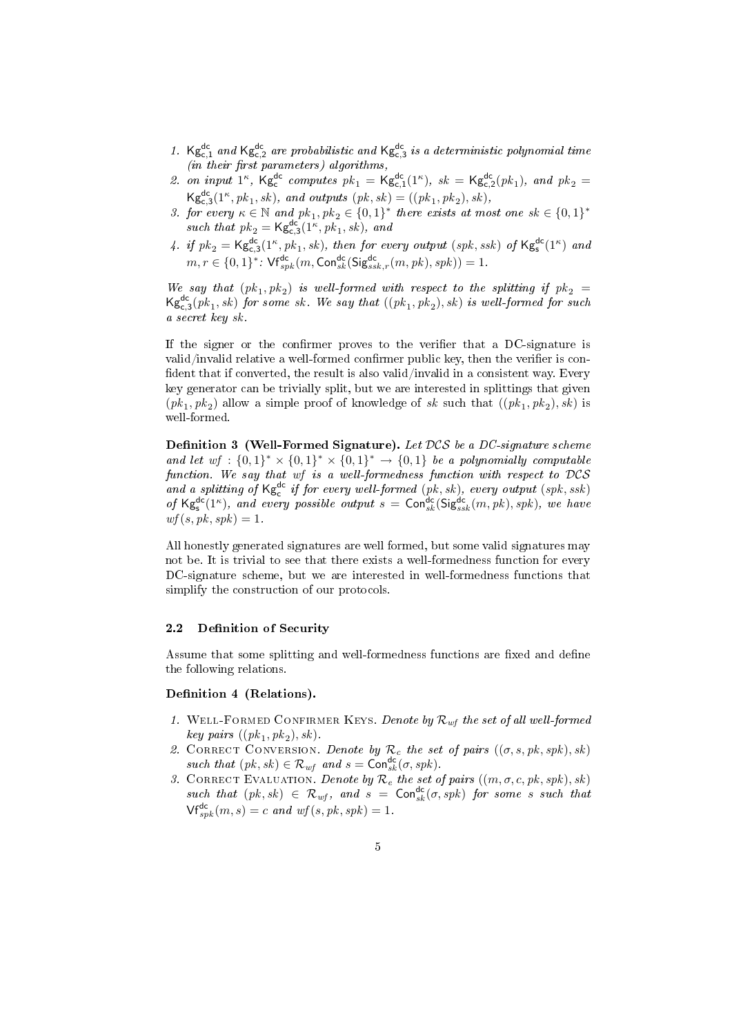- 1. Kg<sup>dc</sup> and Kg<sup>dc</sup>, are probabilistic and Kg<sup>dc</sup>, is a deterministic polynomial time  $(in\ their\ first\ parameters)\ algorithms,$
- 2. on input  $1^{\kappa}$ , Kg<sub>c</sub><sup>dc</sup> computes  $pk_1 = \text{Kg}_{c,1}^{dc}(1^{\kappa})$ ,  $sk = \text{Kg}_{c,2}^{dc}(pk_1)$ , and  $pk_2 =$  $\mathsf{Kg}_{c,3}^{\mathsf{dc}}(1^{\kappa},pk_1, sk), \text{ and outputs } (pk, sk) = ((pk_1, pk_2), sk),$
- 3. for every  $\kappa \in \mathbb{N}$  and  $pk_1, pk_2 \in \{0,1\}^*$  there exists at most one  $sk \in \{0,1\}^*$ such that  $pk_2 = \mathsf{Kg}_{c,3}^{\mathsf{dc}}(1^{\kappa}, pk_1, sk)$ , and
- 4. if  $pk_2 = \mathsf{Kg}_{c,3}^{\mathsf{dc}}(1^{\kappa},pk_1, sk)$ , then for every output  $(spk, ssk)$  of  $\mathsf{Kg}_{s}^{\mathsf{dc}}(1^{\kappa})$  and  $m, r \in \{0, 1\}^*$ :  $\mathsf{Vff}_{spk}^{\mathsf{dc}}(m, \mathsf{Con}^{\mathsf{dc}}_{sk}(\mathsf{Sig}^{\mathsf{dc}}_{ssk,r}(m, pk), spk)) = 1$ .

We say that  $(pk_1, pk_2)$  is well-formed with respect to the splitting if  $pk_2$  $\mathsf{Kg}_{\mathsf{c},3}^{\mathsf{dc}}(pk_1,sk)$  for some sk. We say that  $((pk_1, pk_2), sk)$  is well-formed for such a secret key sk.

If the signer or the confirmer proves to the verifier that a DC-signature is valid/invalid relative a well-formed confirmer public key, then the verifier is confident that if converted, the result is also valid/invalid in a consistent way. Every key generator can be trivially split, but we are interested in splittings that given  $(pk_1, pk_2)$  allow a simple proof of knowledge of sk such that  $((pk_1, pk_2), sk)$  is well-formed.

**Definition 3 (Well-Formed Signature).** Let  $DCS$  be a  $DC\text{-}signature\; scheme$ and let  $wf : \{0,1\}^* \times \{0,1\}^* \times \{0,1\}^* \rightarrow \{0,1\}$  be a polynomially computable function. We say that wf is a well-formedness function with respect to DCS and a splitting of  $\text{Kg}^{\text{dc}}_{\text{c}}$  if for every well-formed  $(\text{pk}, \text{sk})$ , every output  $(\text{spk}, \text{ssk})$ of  $\mathsf{Kg}^{\mathsf{dc}}_{\mathsf{s}}(1^{\kappa})$ , and every possible output  $s = \mathsf{Con}^{\mathsf{dc}}_{sk}(\mathsf{Sig}^{\mathsf{dc}}_{ssk}(m, pk), spk)$ , we have  $wf(s, pk, spk) = 1.$ 

All honestly generated signatures are well formed, but some valid signatures may not be. It is trivial to see that there exists a well-formedness function for every DC-signature scheme, but we are interested in well-formedness functions that simplify the construction of our protocols.

# 2.2 Definition of Security

Assume that some splitting and well-formedness functions are fixed and define the following relations.

# Definition 4 (Relations).

- 1. WELL-FORMED CONFIRMER KEYS. Denote by  $\mathcal{R}_{wf}$  the set of all well-formed key pairs  $((pk_1, pk_2), sk)$ .
- 2. CORRECT CONVERSION. Denote by  $\mathcal{R}_c$  the set of pairs  $((\sigma, s, pk, spk), sk)$ such that  $(pk, sk) \in \mathcal{R}_{wf}$  and  $s = \text{Con}_{sk}^{dc}(\sigma, spk)$ .
- 3. CORRECT EVALUATION. Denote by  $\mathcal{R}_e$  the set of pairs  $((m, \sigma, c, pk, spk), sk)$ such that  $(pk, sk) \in \mathcal{R}_{wf}$ , and  $s = \text{Con}^{\text{dc}}_{sk}(\sigma, spk)$  for some s such that  $\mathsf{Vf}_{spk}^{\mathsf{dc}}(m, s) = c \text{ and } wf(s, pk, spk) = 1.$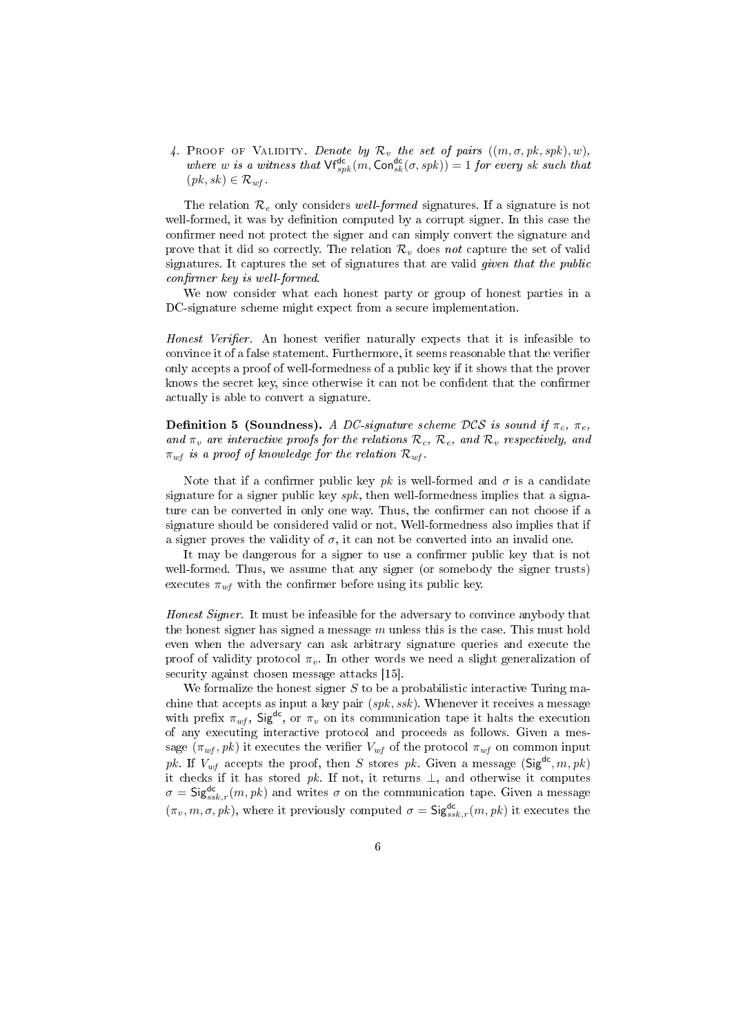4. PROOF OF VALIDITY. Denote by  $\mathcal{R}_v$  the set of pairs  $((m, \sigma, pk, spk), w)$ , where w is a witness that  $\mathsf{Vff}_{spk}^{\mathsf{dc}}(m, \mathsf{Con}^{\mathsf{dc}}_{sk}(\sigma, spk)) = 1$  for every sk such that  $(pk, sk) \in \mathcal{R}_{wf}$ .

The relation  $\mathcal{R}_e$  only considers well-formed signatures. If a signature is not well-formed, it was by definition computed by a corrupt signer. In this case the confirmer need not protect the signer and can simply convert the signature and prove that it did so correctly. The relation  $\mathcal{R}_v$  does not capture the set of valid signatures. It captures the set of signatures that are valid given that the public  $conframe$  key is well-formed.

We now consider what each honest party or group of honest parties in a DC-signature scheme might expect from a secure implementation.

Honest Verifier. An honest verifier naturally expects that it is infeasible to convince it of a false statement. Furthermore, it seems reasonable that the verifier only accepts a proof of well-formedness of a public key if it shows that the prover knows the secret key, since otherwise it can not be confident that the confirmer actually is able to convert a signature.

**Definition 5 (Soundness).** A DC-signature scheme DCS is sound if  $\pi_c$ ,  $\pi_e$ , and  $\pi_v$  are interactive proofs for the relations  $\mathcal{R}_c$ ,  $\mathcal{R}_e$ , and  $\mathcal{R}_v$  respectively, and  $\pi_{wf}$  is a proof of knowledge for the relation  $\mathcal{R}_{wf}$ .

Note that if a confirmer public key pk is well-formed and  $\sigma$  is a candidate signature for a signer public key  $spk$ , then well-formedness implies that a signature can be converted in only one way. Thus, the confirmer can not choose if a signature should be considered valid or not. Well-formedness also implies that if a signer proves the validity of  $\sigma$ , it can not be converted into an invalid one.

It may be dangerous for a signer to use a confirmer public key that is not well-formed. Thus, we assume that any signer (or somebody the signer trusts) executes  $\pi_{wf}$  with the confirmer before using its public key.

Honest Signer. It must be infeasible for the adversary to convince anybody that the honest signer has signed a message  $m$  unless this is the case. This must hold even when the adversary can ask arbitrary signature queries and execute the proof of validity protocol  $\pi_v$ . In other words we need a slight generalization of security against chosen message attacks [15].

We formalize the honest signer  $S$  to be a probabilistic interactive Turing machine that accepts as input a key pair  $(spk, ssk)$ . Whenever it receives a message with prefix  $\pi_{wf}$ , Sig<sup>dc</sup>, or  $\pi_v$  on its communication tape it halts the execution of any executing interactive protocol and proceeds as follows. Given a message  $(\pi_{wf}, pk)$  it executes the verifier  $V_{wf}$  of the protocol  $\pi_{wf}$  on common input pk. If  $V_{wf}$  accepts the proof, then S stores pk. Given a message (Sig<sup>dc</sup>, m, pk) it checks if it has stored pk. If not, it returns  $\bot$ , and otherwise it computes  $\sigma = \mathsf{Sig}^{\mathsf{dc}}_{ssk,r}(m, pk)$  and writes  $\sigma$  on the communication tape. Given a message  $(\pi_v, m, \sigma, pk)$ , where it previously computed  $\sigma = \mathsf{Sig}^{\mathsf{dc}}_{ssk,r}(m, pk)$  it executes the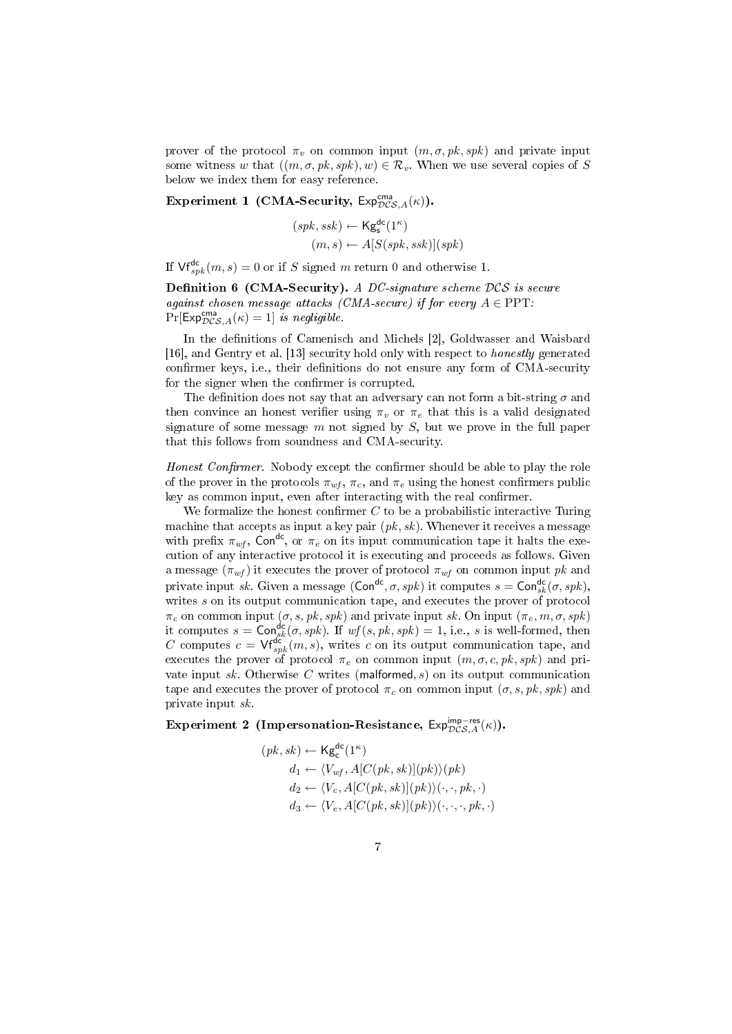prover of the protocol  $\pi_v$  on common input  $(m, \sigma, pk, spk)$  and private input some witness w that  $((m, \sigma, pk, spk), w) \in \mathcal{R}_v$ . When we use several copies of S below we index them for easy reference.

Experiment 1 (CMA-Security,  $Exp_{\mathcal{DCS},A}^{cma}(\kappa)$ ).

$$
(spk,ssk) \leftarrow \mathsf{Kg}_{\mathsf{s}}^{\mathsf{dc}}(1^{\kappa})
$$

$$
(m,s) \leftarrow A[S(spk,ssk)](spk)
$$

If  $\mathsf{Vf}^{\mathsf{dc}}_{spk}(m, s) = 0$  or if S signed m return 0 and otherwise 1.

Definition 6 (CMA-Security). A DC-signature scheme DCS is secure against chosen message attacks (CMA-secure) if for every  $A \in \text{PPT}$ :  $Pr[Exp_{DCS,A}^{cma}(\kappa) = 1]$  is negligible.

In the definitions of Camenisch and Michels [2], Goldwasser and Waisbard [16], and Gentry et al. [13] security hold only with respect to honestly generated confirmer keys, i.e., their definitions do not ensure any form of CMA-security for the signer when the confirmer is corrupted.

The definition does not say that an adversary can not form a bit-string  $\sigma$  and then convince an honest verifier using  $\pi_v$  or  $\pi_e$  that this is a valid designated signature of some message m not signed by  $S$ , but we prove in the full paper that this follows from soundness and CMA-security.

Honest Confirmer. Nobody except the confirmer should be able to play the role of the prover in the protocols  $\pi_{wf}$ ,  $\pi_c$ , and  $\pi_e$  using the honest confirmers public key as common input, even after interacting with the real confirmer.

We formalize the honest confirmer  $C$  to be a probabilistic interactive Turing machine that accepts as input a key pair  $(pk, sk)$ . Whenever it receives a message with prefix  $\pi_{wf}$ , Con<sup>dc</sup>, or  $\pi_e$  on its input communication tape it halts the execution of any interactive protocol it is executing and proceeds as follows. Given a message  $(\pi_{wf})$  it executes the prover of protocol  $\pi_{wf}$  on common input pk and private input sk. Given a message  $(\textsf{Con}^{\textsf{dc}}, \sigma, spk)$  it computes  $s = \textsf{Con}^{\textsf{dc}}_{sk}(\sigma, spk)$ , writes s on its output communication tape, and executes the prover of protocol  $\pi_c$  on common input  $(\sigma, s, pk, spk)$  and private input sk. On input  $(\pi_e, m, \sigma, spk)$ it computes  $s = \textsf{Con}^{\textsf{dc}}_{sk}(\sigma, spk)$ . If  $wf(s, pk, spk) = 1$ , i.e., s is well-formed, then C computes  $c = \mathsf{Vf}_{spk}^{\mathsf{dc}}(m, s)$ , writes c on its output communication tape, and executes the prover of protocol  $\pi_e$  on common input  $(m, \sigma, c, pk, spk)$  and private input sk. Otherwise C writes (malformed, s) on its output communication tape and executes the prover of protocol  $\pi_c$  on common input  $(\sigma, s, pk, spk)$  and private input sk.

Experiment 2 (Impersonation-Resistance,  $\mathsf{Exp}_{\mathcal{DCS}, A}^{\mathsf{imp-res}}(\kappa)$ ).

$$
(pk, sk) \leftarrow \mathsf{Kg}_c^{\mathsf{dc}}(1^{\kappa})
$$
  
\n
$$
d_1 \leftarrow \langle V_{wf}, A[C(pk, sk)](pk) \rangle (pk)
$$
  
\n
$$
d_2 \leftarrow \langle V_c, A[C(pk, sk)](pk) \rangle (\cdot, \cdot, pk, \cdot)
$$
  
\n
$$
d_3 \leftarrow \langle V_e, A[C(pk, sk)](pk) \rangle (\cdot, \cdot, \cdot, pk, \cdot)
$$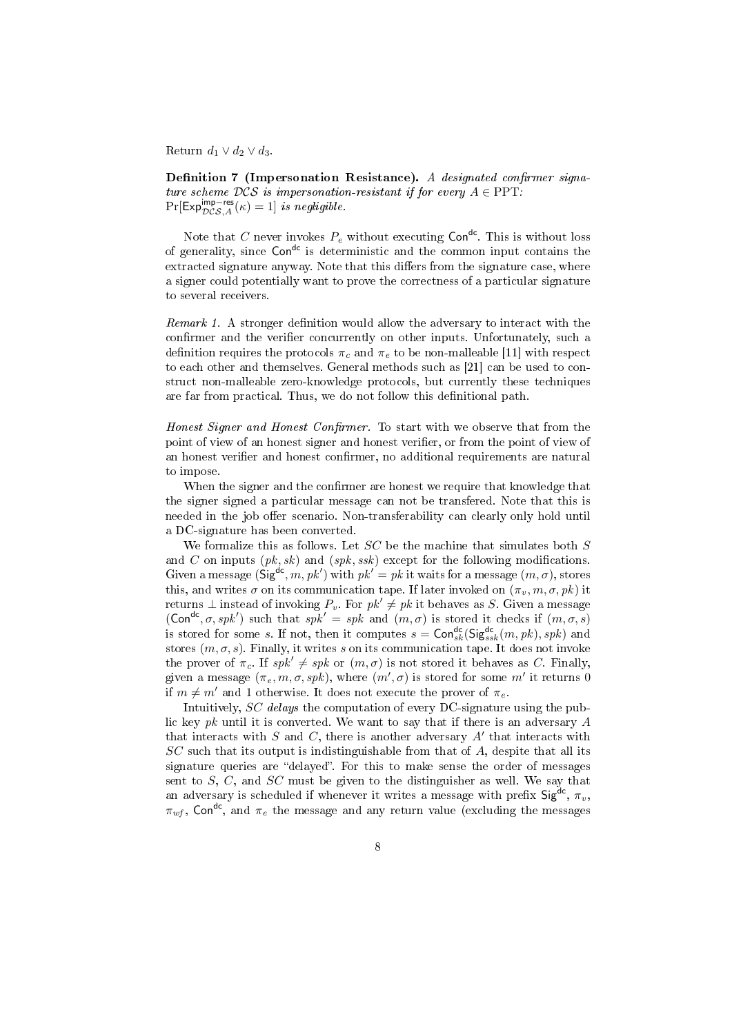Return  $d_1 \vee d_2 \vee d_3$ .

Definition 7 (Impersonation Resistance). A designated confirmer signature scheme  $DCS$  is impersonation-resistant if for every  $A \in \text{PPT}$ :  $\Pr[\mathsf{Exp}_{\mathcal{DCS},A}^{\mathsf{imp-res}}(\kappa) = 1]$  is negligible.

Note that C never invokes  $P_e$  without executing Con<sup>dc</sup>. This is without loss of generality, since Con<sup>dc</sup> is deterministic and the common input contains the extracted signature anyway. Note that this differs from the signature case, where a signer could potentially want to prove the correctness of a particular signature to several receivers.

*Remark 1.* A stronger definition would allow the adversary to interact with the confirmer and the verifier concurrently on other inputs. Unfortunately, such a definition requires the protocols  $\pi_c$  and  $\pi_e$  to be non-malleable [11] with respect to each other and themselves. General methods such as [21] can be used to construct non-malleable zero-knowledge protocols, but currently these techniques are far from practical. Thus, we do not follow this definitional path.

Honest Signer and Honest Confirmer. To start with we observe that from the point of view of an honest signer and honest verifier, or from the point of view of an honest verifier and honest confirmer, no additional requirements are natural to impose.

When the signer and the confirmer are honest we require that knowledge that the signer signed a particular message can not be transfered. Note that this is needed in the job offer scenario. Non-transferability can clearly only hold until a DC-signature has been converted.

We formalize this as follows. Let  $SC$  be the machine that simulates both  $S$ and C on inputs  $(pk, sk)$  and  $(spk, ssk)$  except for the following modifications. Given a message ( $\textsf{Sig}^{\textsf{dc}}, m, pk'$ ) with  $pk' = pk$  it waits for a message  $(m, \sigma)$ , stores this, and writes  $\sigma$  on its communication tape. If later invoked on  $(\pi_v, m, \sigma, pk)$  it returns  $\perp$  instead of invoking  $P_v$ . For  $pk' \neq pk$  it behaves as S. Given a message  $(Con<sup>dc</sup>, \sigma, spk')$  such that  $spk' = spk$  and  $(m, \sigma)$  is stored it checks if  $(m, \sigma, s)$ is stored for some s. If not, then it computes  $s = \textsf{Con}^{\textsf{dc}}_{sk}(\textsf{Sig}^{\textsf{dc}}_{ssk}(m, pk), spk)$  and stores  $(m, \sigma, s)$ . Finally, it writes s on its communication tape. It does not invoke the prover of  $\pi_c$ . If  $spk' \neq spk$  or  $(m, \sigma)$  is not stored it behaves as C. Finally, given a message  $(\pi_e, m, \sigma, spk)$ , where  $(m', \sigma)$  is stored for some  $m'$  it returns 0 if  $m \neq m'$  and 1 otherwise. It does not execute the prover of  $\pi_e$ .

Intuitively, *SC* delays the computation of every DC-signature using the public key  $pk$  until it is converted. We want to say that if there is an adversary  $A$ that interacts with S and C, there is another adversary  $A'$  that interacts with  $SC$  such that its output is indistinguishable from that of A, despite that all its signature queries are "delayed". For this to make sense the order of messages sent to  $S, C$ , and  $SC$  must be given to the distinguisher as well. We say that an adversary is scheduled if whenever it writes a message with prefix  $\textsf{Sig}^{\textsf{dc}}, \pi_v,$  $\pi_{wf}$ , Con<sup>dc</sup>, and  $\pi_e$  the message and any return value (excluding the messages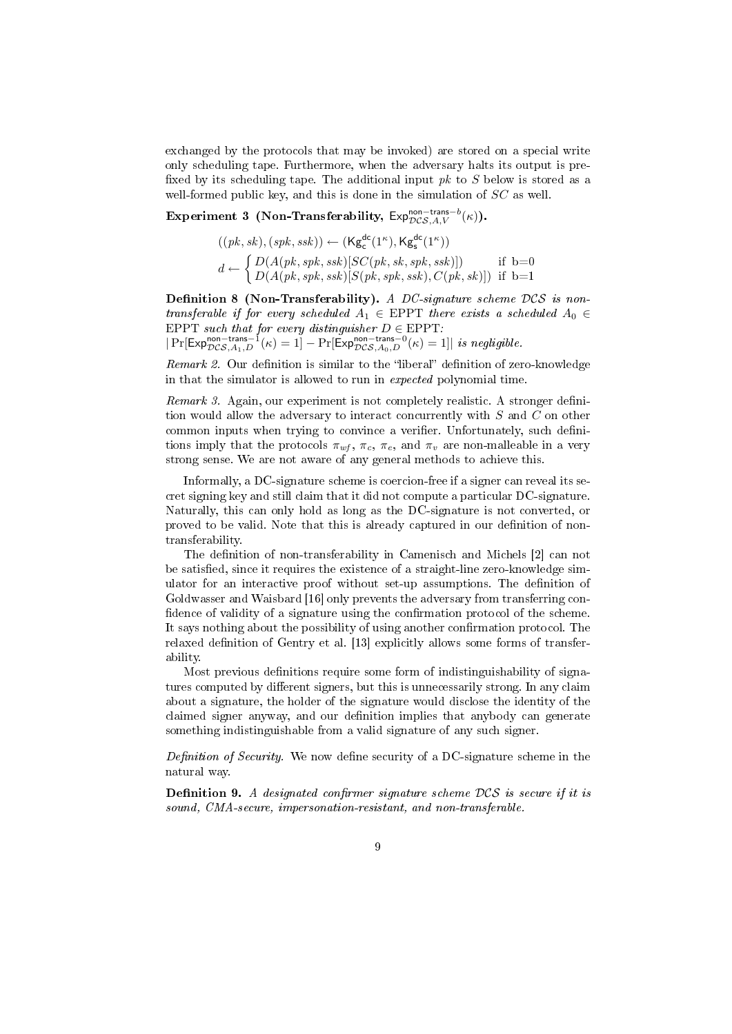exchanged by the protocols that may be invoked) are stored on a special write only scheduling tape. Furthermore, when the adversary halts its output is pre fixed by its scheduling tape. The additional input  $pk$  to  $S$  below is stored as a well-formed public key, and this is done in the simulation of  $SC$  as well.

Experiment 3 (Non-Transferability,  $\text{Exp}_{\mathcal{DCS},A,V}^{\text{non-trans}-b}(\kappa)$ ).

$$
((pk, sk), (spk, ssk)) \leftarrow (Kg_c^{dc}(1^{\kappa}), Kg_s^{dc}(1^{\kappa}))
$$
  

$$
d \leftarrow \begin{cases} D(A(pk, spk, ssk)[SC(pk, sk, spk, ssk)]) & \text{if } b=0\\ D(A(pk, spk, ssk)[S(pk, spk, ssk), C(pk, sk)]) & \text{if } b=1 \end{cases}
$$

Definition 8 (Non-Transferability). A DC-signature scheme  $DCS$  is nontransferable if for every scheduled  $A_1 \in EPT$  there exists a scheduled  $A_0 \in$ EPPT such that for every distinguisher  $D \in \mathrm{EPPT}$ :  $|\Pr[\mathsf{Exp}_{\mathcal{DCS},A_1,D}^{\mathsf{non-trans}-1}(\kappa)=1]-\Pr[\mathsf{Exp}_{\mathcal{DCS},A_0,D}^{\mathsf{non-trans}-0}(\kappa)=1]|$  is negligible.

Remark 2. Our definition is similar to the "liberal" definition of zero-knowledge in that the simulator is allowed to run in expected polynomial time.

Remark 3. Again, our experiment is not completely realistic. A stronger definition would allow the adversary to interact concurrently with S and C on other common inputs when trying to convince a verifier. Unfortunately, such definitions imply that the protocols  $\pi_{wf}$ ,  $\pi_c$ ,  $\pi_e$ , and  $\pi_v$  are non-malleable in a very strong sense. We are not aware of any general methods to achieve this.

Informally, a DC-signature scheme is coercion-free if a signer can reveal its secret signing key and still claim that it did not compute a particular DC-signature. Naturally, this can only hold as long as the DC-signature is not converted, or proved to be valid. Note that this is already captured in our definition of nontransferability.

The definition of non-transferability in Camenisch and Michels [2] can not be satisfied, since it requires the existence of a straight-line zero-knowledge simulator for an interactive proof without set-up assumptions. The definition of Goldwasser and Waisbard [16] only prevents the adversary from transferring con fidence of validity of a signature using the confirmation protocol of the scheme. It says nothing about the possibility of using another confirmation protocol. The relaxed definition of Gentry et al. [13] explicitly allows some forms of transferability.

Most previous definitions require some form of indistinguishability of signatures computed by different signers, but this is unnecessarily strong. In any claim about a signature, the holder of the signature would disclose the identity of the claimed signer anyway, and our definition implies that anybody can generate something indistinguishable from a valid signature of any such signer.

Definition of Security. We now define security of a DC-signature scheme in the natural way.

**Definition 9.** A designated confirmer signature scheme  $DCS$  is secure if it is sound, CMA-secure, impersonation-resistant, and non-transferable.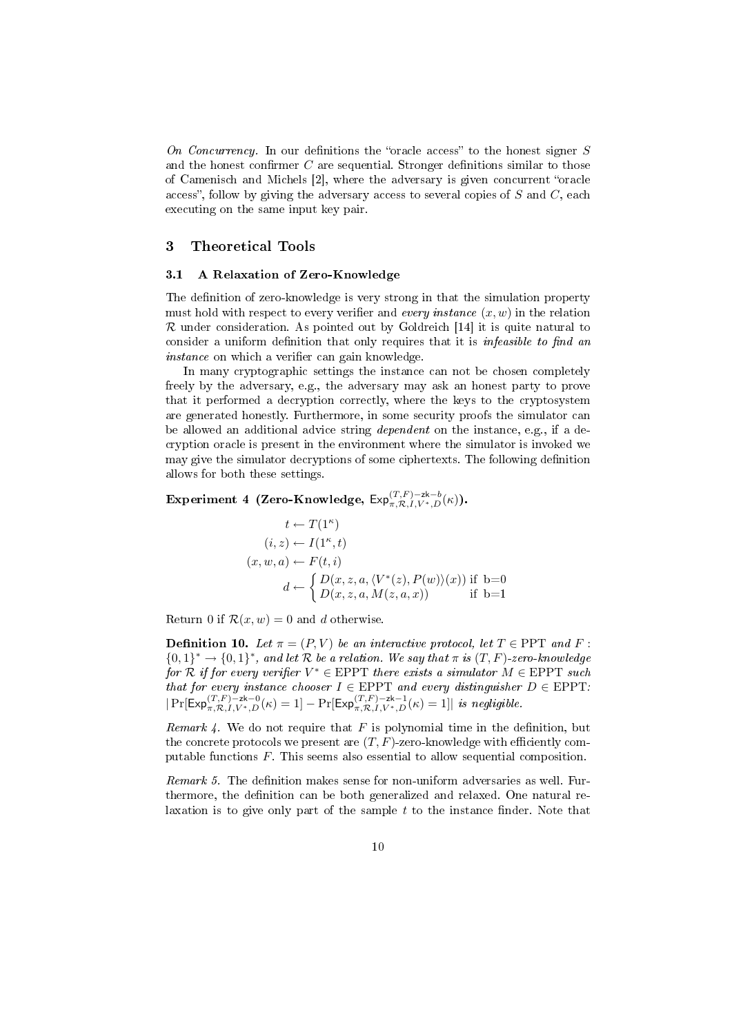On Concurrency. In our definitions the "oracle access" to the honest signer  $S$ and the honest confirmer  $C$  are sequential. Stronger definitions similar to those of Camenisch and Michels  $[2]$ , where the adversary is given concurrent "oracle access", follow by giving the adversary access to several copies of  $S$  and  $C$ , each executing on the same input key pair.

# 3 Theoretical Tools

### 3.1 A Relaxation of Zero-Knowledge

The definition of zero-knowledge is very strong in that the simulation property must hold with respect to every verifier and every instance  $(x, w)$  in the relation  $\mathcal R$  under consideration. As pointed out by Goldreich [14] it is quite natural to consider a uniform definition that only requires that it is infeasible to find an *instance* on which a verifier can gain knowledge.

In many cryptographic settings the instance can not be chosen completely freely by the adversary, e.g., the adversary may ask an honest party to prove that it performed a decryption correctly, where the keys to the cryptosystem are generated honestly. Furthermore, in some security proofs the simulator can be allowed an additional advice string dependent on the instance, e.g., if a decryption oracle is present in the environment where the simulator is invoked we may give the simulator decryptions of some ciphertexts. The following definition allows for both these settings.

Experiment 4 (Zero-Knowledge,  $\mathsf{Exp}_{\pi,\mathcal{R},I,V^*,D}^{(T,F)-\mathsf{zk}-b}(\kappa)$ ).

$$
t \leftarrow T(1^{\kappa})
$$
  
\n
$$
(i, z) \leftarrow I(1^{\kappa}, t)
$$
  
\n
$$
(x, w, a) \leftarrow F(t, i)
$$
  
\n
$$
d \leftarrow \begin{cases} D(x, z, a, \langle V^*(z), P(w) \rangle(x)) \text{ if } b=0\\ D(x, z, a, M(z, a, x)) \text{ if } b=1 \end{cases}
$$

Return 0 if  $\mathcal{R}(x, w) = 0$  and d otherwise.

**Definition 10.** Let  $\pi = (P, V)$  be an interactive protocol, let  $T \in \text{PPT}$  and  $F$ :  ${0,1}^* \rightarrow {0,1}^*$ , and let R be a relation. We say that  $\pi$  is  $(T, F)$ -zero-knowledge for R if for every verifier  $V^* \in \text{EPPT}$  there exists a simulator  $M \in \text{EPPT}$  such that for every instance chooser  $I \in EPT$  and every distinguisher  $D \in EPT$ .  $|\Pr[\mathsf{Exp}_{\pi,\mathcal{R},I,V^*,D}^{(T,F)-\mathsf{zk}-0}(\kappa) = 1] - \Pr[\mathsf{Exp}_{\pi,\mathcal{R},I,V^*,D}^{(T,F)-\mathsf{zk}-1}(\kappa) = 1]|$  is negligible.

Remark 4. We do not require that  $F$  is polynomial time in the definition, but the concrete protocols we present are  $(T, F)$ -zero-knowledge with efficiently computable functions F. This seems also essential to allow sequential composition.

Remark 5. The definition makes sense for non-uniform adversaries as well. Furthermore, the definition can be both generalized and relaxed. One natural relaxation is to give only part of the sample  $t$  to the instance finder. Note that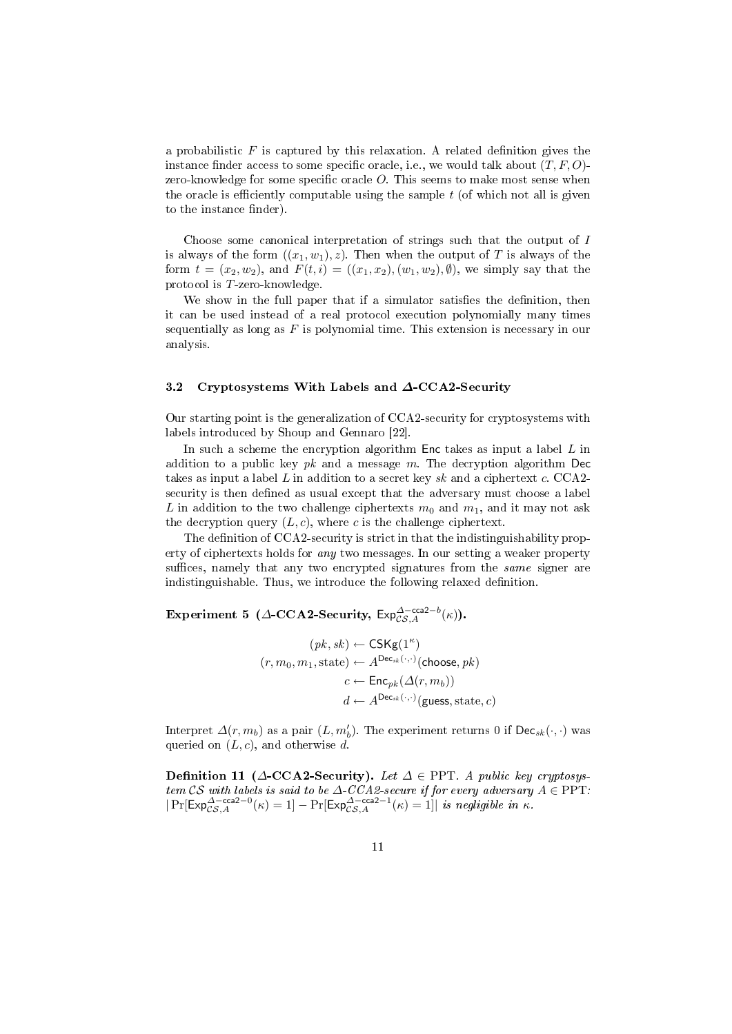a probabilistic  $F$  is captured by this relaxation. A related definition gives the instance finder access to some specific oracle, i.e., we would talk about  $(T, F, O)$ zero-knowledge for some specific oracle  $O$ . This seems to make most sense when the oracle is efficiently computable using the sample  $t$  (of which not all is given to the instance finder).

Choose some canonical interpretation of strings such that the output of I is always of the form  $((x_1, w_1), z)$ . Then when the output of T is always of the form  $t = (x_2, w_2)$ , and  $F(t, i) = ((x_1, x_2), (w_1, w_2), \emptyset)$ , we simply say that the protocol is T-zero-knowledge.

We show in the full paper that if a simulator satisfies the definition, then it can be used instead of a real protocol execution polynomially many times sequentially as long as  $F$  is polynomial time. This extension is necessary in our analysis.

### 3.2 Cryptosystems With Labels and ∆-CCA2-Security

Our starting point is the generalization of CCA2-security for cryptosystems with labels introduced by Shoup and Gennaro [22].

In such a scheme the encryption algorithm  $\mathsf{Enc}$  takes as input a label  $L$  in addition to a public key  $pk$  and a message m. The decryption algorithm Dec takes as input a label L in addition to a secret key sk and a ciphertext c.  $CCA2$ security is then defined as usual except that the adversary must choose a label L in addition to the two challenge ciphertexts  $m_0$  and  $m_1$ , and it may not ask the decryption query  $(L, c)$ , where c is the challenge ciphertext.

The definition of CCA2-security is strict in that the indistinguishability property of ciphertexts holds for any two messages. In our setting a weaker property suffices, namely that any two encrypted signatures from the *same* signer are indistinguishable. Thus, we introduce the following relaxed definition.

Experiment 5 ( $\Delta$ -CCA2-Security, Exp $_{\mathcal{CS},A}^{\Delta-\textsf{cca2}-b}(\kappa)$ ).

$$
(pk, sk) \leftarrow \text{CSKg}(1^{\kappa})
$$

$$
(r, m_0, m_1, \text{state}) \leftarrow A^{\text{Dec}_{sk}(\cdot, \cdot)}(\text{choose}, pk)
$$

$$
c \leftarrow \text{Enc}_{pk}(\Delta(r, m_b))
$$

$$
d \leftarrow A^{\text{Dec}_{sk}(\cdot, \cdot)}(\text{guess}, \text{state}, c)
$$

Interpret  $\Delta(r, m_b)$  as a pair  $(L, m'_b)$ . The experiment returns 0 if  $\mathsf{Dec}_{sk}(\cdot, \cdot)$  was queried on  $(L, c)$ , and otherwise d.

Definition 11 ( $\triangle$ -CCA2-Security). Let  $\triangle \in$  PPT. A public key cryptosystem CS with labels is said to be  $\Delta$ -CCA2-secure if for every adversary  $A \in \text{PPT}$ .  $|\Pr[\mathsf{Exp}_{\mathcal{CS},A}^{\Delta-\textsf{cca2}-0}(\kappa)=1]-\Pr[\mathsf{Exp}_{\mathcal{CS},A}^{\Delta-\textsf{cca2}-1}(\kappa)=1]|$  is negligible in  $\kappa$ .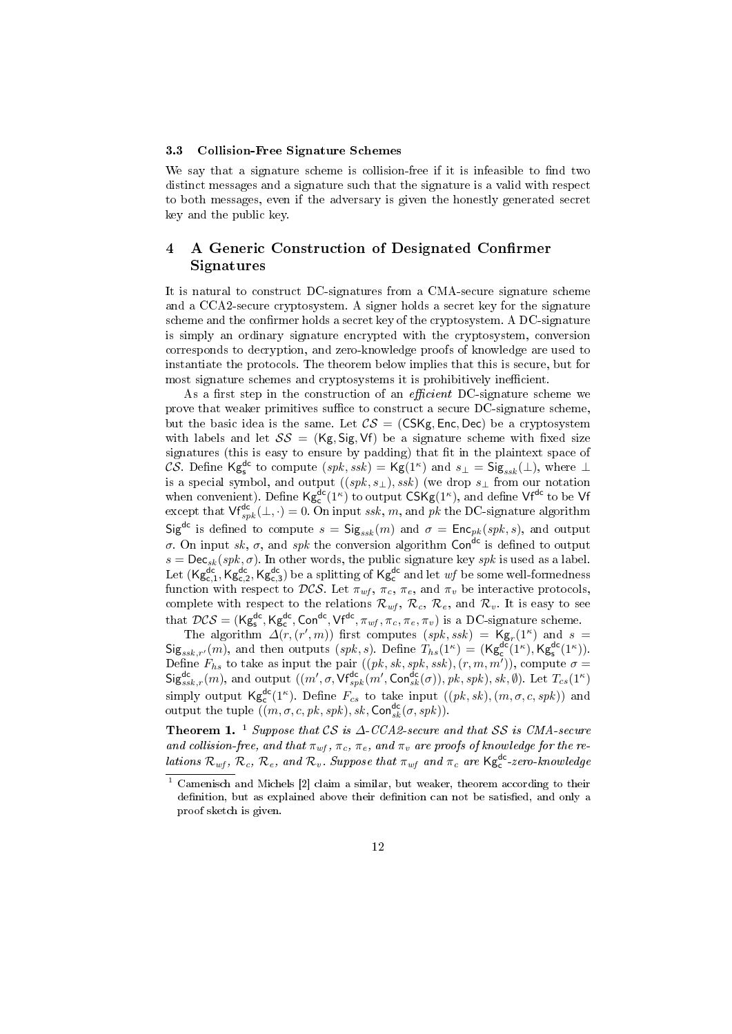#### 3.3 Collision-Free Signature Schemes

We say that a signature scheme is collision-free if it is infeasible to find two distinct messages and a signature such that the signature is a valid with respect to both messages, even if the adversary is given the honestly generated secret key and the public key.

# 4 A Generic Construction of Designated Confirmer Signatures

It is natural to construct DC-signatures from a CMA-secure signature scheme and a CCA2-secure cryptosystem. A signer holds a secret key for the signature scheme and the confirmer holds a secret key of the cryptosystem. A DC-signature is simply an ordinary signature encrypted with the cryptosystem, conversion corresponds to decryption, and zero-knowledge proofs of knowledge are used to instantiate the protocols. The theorem below implies that this is secure, but for most signature schemes and cryptosystems it is prohibitively inefficient.

As a first step in the construction of an *efficient* DC-signature scheme we prove that weaker primitives suffice to construct a secure  $DC$ -signature scheme. but the basic idea is the same. Let  $CS = (CSKg, Enc, Dec)$  be a cryptosystem with labels and let  $SS = (Kg, Sig, Vf)$  be a signature scheme with fixed size signatures (this is easy to ensure by padding) that fit in the plaintext space of CS. Define Kg<sup>dc</sup> to compute  $(spk, ssk) = \text{Kg}(1^{\kappa})$  and  $s_{\perp} = \text{Sig}_{ssk}(\perp)$ , where  $\perp$ is a special symbol, and output  $((spk,s_{\perp}), ssk)$  (we drop  $s_{\perp}$  from our notation when convenient). Define  $\mathsf{Kg}_{c}^{\mathsf{dc}}(1^{\kappa})$  to output  $\mathsf{CSKg}(1^{\kappa})$ , and define  $\mathsf{Vf}^{\mathsf{dc}}$  to be  $\mathsf{Vf}$ except that  $\mathsf{Vf}_{spk}^{\mathsf{dc}}(\bot,\cdot)=0$ . On input ssk, m, and pk the DC-signature algorithm Sig<sup>dc</sup> is defined to compute  $s = \text{Sig}_{ssk}(m)$  and  $\sigma = \text{Enc}_{pk}(spk, s)$ , and output σ. On input sk, σ, and spk the conversion algorithm Con<sup>dc</sup> is defined to output  $s = \textsf{Dec}_{sk}(spk, \sigma)$ . In other words, the public signature key spk is used as a label. Let  $(Kg_{c,1}^{dc}, Kg_{c,2}^{dc}, Kg_{c,3}^{dc})$  be a splitting of  $Kg_c^{dc}$  and let wf be some well-formedness function with respect to  $\mathcal{DCS}.$  Let  $\pi_{wf},$   $\pi_{c},$   $\pi_{e},$  and  $\pi_{v}$  be interactive protocols, complete with respect to the relations  $\mathcal{R}_{wf}, \, \mathcal{R}_c, \, \mathcal{R}_e,$  and  $\mathcal{R}_v$ . It is easy to see that  $DCS = (Kg_s^{dc}, Kg_c^{dc}, Con^{dc}, Vf^{dc}, \pi_{wf}, \pi_c, \pi_e, \pi_v)$  is a DC-signature scheme.

The algorithm  $\Delta(r, (r', m))$  first computes  $(spk, ssk) = \text{Kg}_r(1^{\kappa})$  and  $s =$  $\mathsf{Sig}_{ssk,r'}(m)$ , and then outputs  $(spk, s)$ . Define  $T_{hs}(1^{\kappa}) = (\mathsf{Kg}_{\mathsf{c}}^{\mathsf{dc}}(1^{\kappa}), \mathsf{Kg}_{\mathsf{s}}^{\mathsf{dc}}(1^{\kappa}))$ . Define  $F_{hs}$  to take as input the pair  $((pk, sk, spk, ssk), (r, m, m'))$ , compute  $\sigma =$  $\mathsf{Sig}^{\mathsf{dc}}_{ssk,r}(m)$ , and output  $((m', \sigma, \mathsf{Vf}^{\mathsf{dc}}_{spk}(m', \mathsf{Con}^{\mathsf{dc}}_{sk}(\sigma)), \mathsf{pk}, \mathsf{spk}), \mathsf{sk}, \emptyset)$ . Let  $T_{cs}(1^{\kappa})$ simply output  $\mathsf{Kg}_c^{\mathsf{dc}}(1^{\kappa})$ . Define  $F_{cs}$  to take input  $((pk, sk), (m, \sigma, c, spk))$  and output the tuple  $((m, \sigma, c, pk, spk), sk, \textsf{Con}^{\textsf{dc}}_{sk}(\sigma, spk)).$ 

Theorem 1. <sup>1</sup> Suppose that  $CS$  is  $\triangle$ -CCA2-secure and that SS is CMA-secure and collision-free, and that  $\pi_{wf}$ ,  $\pi_c$ ,  $\pi_e$ , and  $\pi_v$  are proofs of knowledge for the relations  $\mathcal{R}_{wf}$  ,  $\mathcal{R}_c$  ,  $\mathcal{R}_e$  , and  $\mathcal{R}_v$  . Suppose that  $\pi_{wf}$  and  $\pi_c$  are  $\mathsf{Kg}^\mathsf{dc}_\mathsf{c}$ -zero-knowledge

 $1$  Camenisch and Michels  $[2]$  claim a similar, but weaker, theorem according to their definition, but as explained above their definition can not be satisfied, and only a proof sketch is given.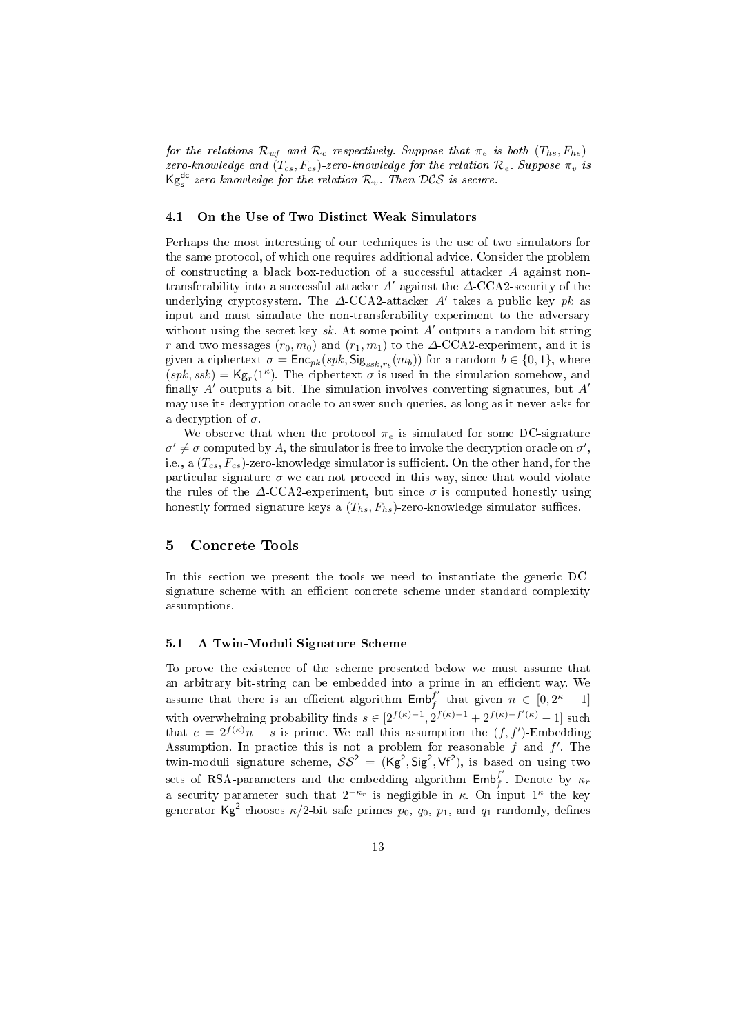for the relations  $\mathcal{R}_{wf}$  and  $\mathcal{R}_c$  respectively. Suppose that  $\pi_e$  is both  $(T_{hs}, F_{hs})$ zero-knowledge and  $(T_{cs}, F_{cs})$ -zero-knowledge for the relation  $\mathcal{R}_e$ . Suppose  $\pi_v$  is  $\mathsf{Kg}^{\mathsf{dc}}_{\mathsf{s}}$ -zero-knowledge for the relation  $\mathcal{R}_v$ . Then DCS is secure.

### 4.1 On the Use of Two Distinct Weak Simulators

Perhaps the most interesting of our techniques is the use of two simulators for the same protocol, of which one requires additional advice. Consider the problem of constructing a black box-reduction of a successful attacker A against nontransferability into a successful attacker  $A'$  against the  $\Delta$ -CCA2-security of the underlying cryptosystem. The  $\triangle$ -CCA2-attacker A' takes a public key pk as input and must simulate the non-transferability experiment to the adversary without using the secret key sk. At some point  $A'$  outputs a random bit string r and two messages  $(r_0, m_0)$  and  $(r_1, m_1)$  to the  $\triangle$ -CCA2-experiment, and it is given a ciphertext  $\sigma = \mathsf{Enc}_{pk}(spk, \mathsf{Sig}_{ssk,r_b}(m_b))$  for a random  $b \in \{0,1\}$ , where  $(spk, ssk) = \mathsf{Kg}_r(1^{\kappa})$ . The ciphertext  $\sigma$  is used in the simulation somehow, and finally  $A'$  outputs a bit. The simulation involves converting signatures, but  $A'$ may use its decryption oracle to answer such queries, as long as it never asks for a decryption of  $\sigma$ .

We observe that when the protocol  $\pi_e$  is simulated for some DC-signature  $\sigma' \neq \sigma$  computed by A, the simulator is free to invoke the decryption oracle on  $\sigma',$ i.e., a  $(T_{cs}, F_{cs})$ -zero-knowledge simulator is sufficient. On the other hand, for the particular signature  $\sigma$  we can not proceed in this way, since that would violate the rules of the  $\triangle$ -CCA2-experiment, but since  $\sigma$  is computed honestly using honestly formed signature keys a  $(T_{hs}, F_{hs})$ -zero-knowledge simulator suffices.

# 5 Concrete Tools

In this section we present the tools we need to instantiate the generic DCsignature scheme with an efficient concrete scheme under standard complexity assumptions.

### 5.1 A Twin-Moduli Signature Scheme

To prove the existence of the scheme presented below we must assume that an arbitrary bit-string can be embedded into a prime in an efficient way. We assume that there is an efficient algorithm  $\mathsf{Emb}_f^{f'}$  $f'_{f}$  that given  $n \in [0, 2^{\kappa} - 1]$ with overwhelming probability finds  $s \in [2^{f(\kappa)-1}, 2^{f(\kappa)-1} + 2^{f(\kappa)-f'(\kappa)} - 1]$  such that  $e = 2^{f(\kappa)}n + s$  is prime. We call this assumption the  $(f, f')$ -Embedding Assumption. In practice this is not a problem for reasonable  $f$  and  $f'$ . The twin-moduli signature scheme,  $SS^2 = (Kg^2, Sig^2, Vf^2)$ , is based on using two sets of RSA-parameters and the embedding algorithm  $\mathsf{Emb}_f^{f'}$  $\kappa_f^J$  . Denote by  $\kappa_r$ a security parameter such that  $2^{-\kappa_r}$  is negligible in  $\kappa$ . On input  $1^{\kappa}$  the key generator  $\text{Kg}^2$  chooses  $\kappa/2$ -bit safe primes  $p_0, q_0, p_1$ , and  $q_1$  randomly, defines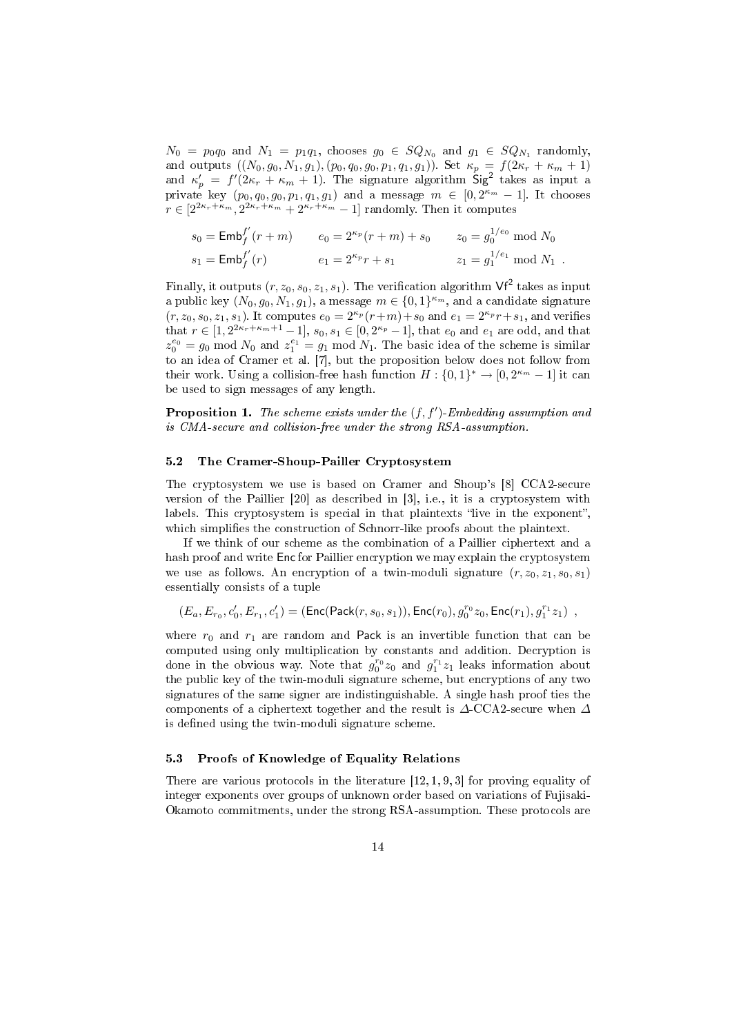$N_0 = p_0 q_0$  and  $N_1 = p_1 q_1$ , chooses  $g_0 \in SQ_{N_0}$  and  $g_1 \in SQ_{N_1}$  randomly, and outputs  $((N_0, g_0, N_1, g_1), (p_0, q_0, g_0, p_1, q_1, g_1))$ . Set  $\kappa_p = f(2\kappa_r + \kappa_m + 1)$ and  $\kappa'_{p} = f'(2\kappa_r + \kappa_m + 1)$ . The signature algorithm  $\text{Sig}^2$  takes as input a private key  $(p_0, q_0, g_0, p_1, q_1, g_1)$  and a message  $m \in [0, 2^{\kappa_m} - 1]$ . It chooses  $r \in [2^{2\kappa_r + \kappa_m}, 2^{2\kappa_r + \kappa_m} + 2^{\kappa_r + \kappa_m} - 1]$  randomly. Then it computes

$$
s_0 = \text{Emb}_f^{f'}(r+m) \qquad e_0 = 2^{\kappa_p}(r+m) + s_0 \qquad z_0 = g_0^{1/e_0} \text{ mod } N_0
$$
  

$$
s_1 = \text{Emb}_f^{f'}(r) \qquad e_1 = 2^{\kappa_p}r + s_1 \qquad z_1 = g_1^{1/e_1} \text{ mod } N_1.
$$

Finally, it outputs  $(r, z_0, s_0, z_1, s_1)$ . The verification algorithm  $\mathsf{Vf}^2$  takes as input a public key  $(N_0, g_0, N_1, g_1)$ , a message  $m \in \{0, 1\}^{\kappa_m}$ , and a candidate signature  $(r, z_0, s_0, z_1, s_1)$ . It computes  $e_0 = 2^{\kappa_p}(r+m) + s_0$  and  $e_1 = 2^{\kappa_p}r + s_1$ , and verifies that  $r \in [1, 2^{2\kappa_r + \kappa_m + 1} - 1]$ ,  $s_0, s_1 \in [0, 2^{\kappa_p} - 1]$ , that  $e_0$  and  $e_1$  are odd, and that  $z_0^{e_0} = g_0$  mod  $N_0$  and  $z_1^{e_1} = g_1$  mod  $N_1$ . The basic idea of the scheme is similar to an idea of Cramer et al. [7], but the proposition below does not follow from their work. Using a collision-free hash function  $H: \{0,1\}^* \to [0, 2^{\kappa_m} - 1]$  it can be used to sign messages of any length.

**Proposition 1.** The scheme exists under the  $(f, f')$ -Embedding assumption and is CMA-secure and collision-free under the strong RSA-assumption.

# 5.2 The Cramer-Shoup-Pailler Cryptosystem

The cryptosystem we use is based on Cramer and Shoup's [8] CCA2-secure version of the Paillier [20] as described in [3], i.e., it is a cryptosystem with labels. This cryptosystem is special in that plaintexts "live in the exponent", which simplifies the construction of Schnorr-like proofs about the plaintext.

If we think of our scheme as the combination of a Paillier ciphertext and a hash proof and write Enc for Paillier encryption we may explain the cryptosystem we use as follows. An encryption of a twin-moduli signature  $(r, z_0, z_1, s_0, s_1)$ essentially consists of a tuple

$$
(E_a,E_{r_0},c_0',E_{r_1},c_1')=(\mathsf{Enc}(\mathsf{Pack}(r,s_0,s_1)),\mathsf{Enc}(r_0),g_0^{r_0}z_0,\mathsf{Enc}(r_1),g_1^{r_1}z_1)\enspace,
$$

where  $r_0$  and  $r_1$  are random and Pack is an invertible function that can be computed using only multiplication by constants and addition. Decryption is done in the obvious way. Note that  $g_0^{r_0}z_0$  and  $g_1^{r_1}z_1$  leaks information about the public key of the twin-moduli signature scheme, but encryptions of any two signatures of the same signer are indistinguishable. A single hash proof ties the components of a ciphertext together and the result is  $\Delta$ -CCA2-secure when  $\Delta$ is defined using the twin-moduli signature scheme.

## 5.3 Proofs of Knowledge of Equality Relations

There are various protocols in the literature [12, 1, 9, 3] for proving equality of integer exponents over groups of unknown order based on variations of Fujisaki-Okamoto commitments, under the strong RSA-assumption. These protocols are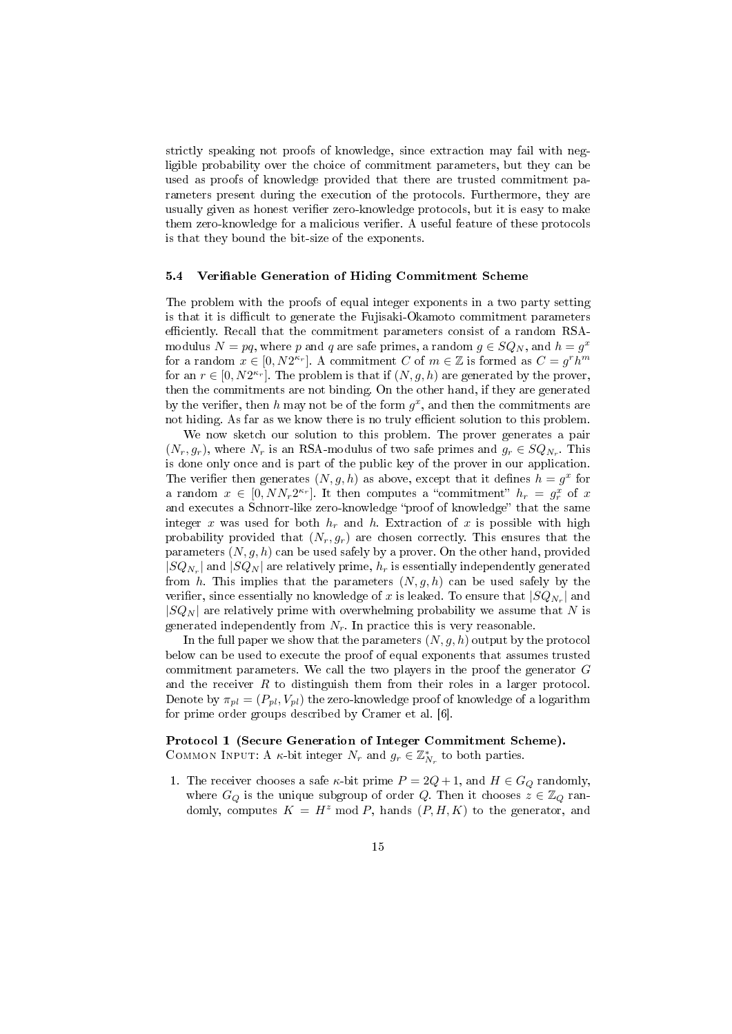strictly speaking not proofs of knowledge, since extraction may fail with negligible probability over the choice of commitment parameters, but they can be used as proofs of knowledge provided that there are trusted commitment parameters present during the execution of the protocols. Furthermore, they are usually given as honest verifier zero-knowledge protocols, but it is easy to make them zero-knowledge for a malicious verifier. A useful feature of these protocols is that they bound the bit-size of the exponents.

## 5.4 Verifiable Generation of Hiding Commitment Scheme

The problem with the proofs of equal integer exponents in a two party setting is that it is difficult to generate the Fujisaki-Okamoto commitment parameters efficiently. Recall that the commitment parameters consist of a random RSAmodulus  $N = pq$ , where p and q are safe primes, a random  $g \in SQ_N$ , and  $h = g^x$ for a random  $x \in [0, N2^{\kappa_r}]$ . A commitment C of  $m \in \mathbb{Z}$  is formed as  $C = g^r h^m$ for an  $r \in [0, N2^{\kappa_r}]$ . The problem is that if  $(N, g, h)$  are generated by the prover, then the commitments are not binding. On the other hand, if they are generated by the verifier, then h may not be of the form  $g^x$ , and then the commitments are not hiding. As far as we know there is no truly efficient solution to this problem.

We now sketch our solution to this problem. The prover generates a pair  $(N_r, g_r)$ , where  $N_r$  is an RSA-modulus of two safe primes and  $g_r \in SQ_{N_r}$ . This is done only once and is part of the public key of the prover in our application. The verifier then generates  $(N, g, h)$  as above, except that it defines  $h = g^x$  for a random  $x \in [0, NN_r 2^{\kappa_r}]$ . It then computes a "commitment"  $h_r = g_r^x$  of x and executes a Schnorr-like zero-knowledge "proof of knowledge" that the same integer x was used for both  $h_r$  and h. Extraction of x is possible with high probability provided that  $(N_r, g_r)$  are chosen correctly. This ensures that the parameters  $(N, g, h)$  can be used safely by a prover. On the other hand, provided  $|SQ_{N_r}|$  and  $|SQ_N|$  are relatively prime,  $h_r$  is essentially independently generated from h. This implies that the parameters  $(N, q, h)$  can be used safely by the verifier, since essentially no knowledge of x is leaked. To ensure that  $|SQ_{N_r}|$  and  $|SQ_N|$  are relatively prime with overwhelming probability we assume that N is generated independently from  $N_r$ . In practice this is very reasonable.

In the full paper we show that the parameters  $(N, q, h)$  output by the protocol below can be used to execute the proof of equal exponents that assumes trusted commitment parameters. We call the two players in the proof the generator  $G$ and the receiver  $R$  to distinguish them from their roles in a larger protocol. Denote by  $\pi_{pl} = (P_{pl}, V_{pl})$  the zero-knowledge proof of knowledge of a logarithm for prime order groups described by Cramer et al. [6].

### Protocol 1 (Secure Generation of Integer Commitment Scheme).

COMMON INPUT: A  $\kappa$ -bit integer  $N_r$  and  $g_r \in \mathbb{Z}_{N_r}^*$  to both parties.

1. The receiver chooses a safe  $\kappa$ -bit prime  $P = 2Q + 1$ , and  $H \in G_Q$  randomly, where  $G_Q$  is the unique subgroup of order Q. Then it chooses  $z \in \mathbb{Z}_Q$  randomly, computes  $K = H^z \mod P$ , hands  $(P, H, K)$  to the generator, and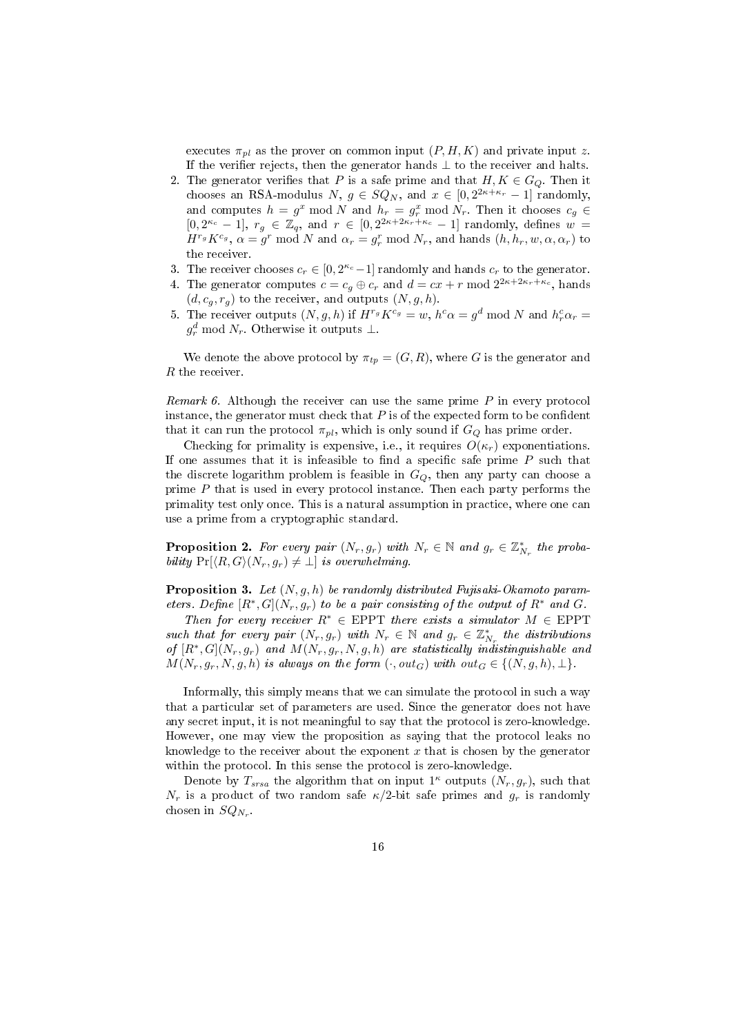executes  $\pi_{pl}$  as the prover on common input  $(P, H, K)$  and private input z. If the verifier rejects, then the generator hands  $\perp$  to the receiver and halts.

- 2. The generator verifies that P is a safe prime and that  $H, K \in G_Q$ . Then it chooses an RSA-modulus N,  $g \in SQ_N$ , and  $x \in [0, 2^{2\kappa + \kappa_r} - 1]$  randomly, and computes  $h = g^x \mod N$  and  $h_r = g^x_r \mod N_r$ . Then it chooses  $c_g \in$  $[0, 2^{\kappa_c} - 1], r_g \in \mathbb{Z}_q$ , and  $r \in [0, 2^{2\kappa + 2\kappa_r + \kappa_c} - 1]$  randomly, defines  $w =$  $H^{r_g}K^{c_g}, \, \alpha = g^r \bmod N$  and  $\alpha_r = g^r_r \bmod N_r$ , and hands  $(h, h_r, w, \alpha, \alpha_r)$  to the receiver.
- 3. The receiver chooses  $c_r \in [0, 2^{\kappa_c}-1]$  randomly and hands  $c_r$  to the generator.
- 4. The generator computes  $c = c_g \oplus c_r$  and  $d = cx + r \mod 2^{2\kappa + 2\kappa_r + \kappa_c}$ , hands  $(d, c_q, r_q)$  to the receiver, and outputs  $(N, g, h)$ .
- 5. The receiver outputs  $(N, g, h)$  if  $H^{r_g} K^{c_g} = w$ ,  $h^c \alpha = g^d \mod N$  and  $h^c_r \alpha_r =$  $g_r^d \bmod N_r$ . Otherwise it outputs  $\perp$ .

We denote the above protocol by  $\pi_{tp} = (G, R)$ , where G is the generator and R the receiver.

Remark  $6.$  Although the receiver can use the same prime  $P$  in every protocol instance, the generator must check that  $P$  is of the expected form to be confident that it can run the protocol  $\pi_{pl}$ , which is only sound if  $G_Q$  has prime order.

Checking for primality is expensive, i.e., it requires  $O(\kappa_r)$  exponentiations. If one assumes that it is infeasible to find a specific safe prime  $P$  such that the discrete logarithm problem is feasible in  $G_Q$ , then any party can choose a prime  $P$  that is used in every protocol instance. Then each party performs the primality test only once. This is a natural assumption in practice, where one can use a prime from a cryptographic standard.

**Proposition 2.** For every pair  $(N_r, g_r)$  with  $N_r \in \mathbb{N}$  and  $g_r \in \mathbb{Z}_{N_r}^*$  the probability  $Pr[\langle R, G \rangle(N_r, g_r) \neq \bot]$  is overwhelming.

**Proposition 3.** Let  $(N, g, h)$  be randomly distributed Fujisaki-Okamoto parameters. Define  $[R^*,G](N_r, g_r)$  to be a pair consisting of the output of  $R^*$  and G.

Then for every receiver  $R^* \in EPT$  there exists a simulator  $M \in EPT$ such that for every pair  $(N_r, g_r)$  with  $N_r \in \mathbb{N}$  and  $g_r \in \mathbb{Z}_{N_r}^*$  the distributions of  $[R^*,G](N_r, g_r)$  and  $M(N_r, g_r, N, g, h)$  are statistically indistinguishable and  $M(N_r, g_r, N, g, h)$  is always on the form  $(\cdot, out_G)$  with out<sub>G</sub>  $\in \{(N, g, h), \perp\}.$ 

Informally, this simply means that we can simulate the protocol in such a way that a particular set of parameters are used. Since the generator does not have any secret input, it is not meaningful to say that the protocol is zero-knowledge. However, one may view the proposition as saying that the protocol leaks no knowledge to the receiver about the exponent  $x$  that is chosen by the generator within the protocol. In this sense the protocol is zero-knowledge.

Denote by  $T_{srsa}$  the algorithm that on input  $1^{\kappa}$  outputs  $(N_r, g_r)$ , such that  $N_r$  is a product of two random safe  $\kappa/2$ -bit safe primes and  $g_r$  is randomly chosen in  $SQ_{N_r}$ .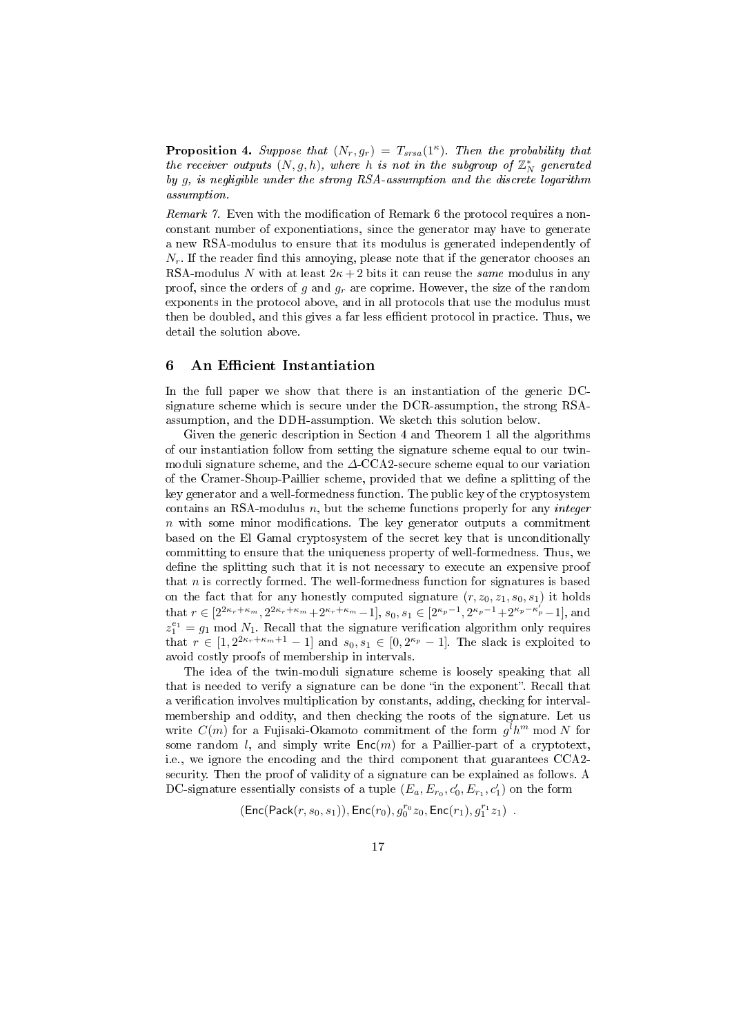**Proposition 4.** Suppose that  $(N_r, g_r) = T_{srsa}(1^{\kappa})$ . Then the probability that the receiver outputs  $(N, g, h)$ , where h is not in the subgroup of  $\mathbb{Z}_N^*$  generated by g, is negligible under the strong RSA-assumption and the discrete logarithm assumption.

Remark 7. Even with the modification of Remark 6 the protocol requires a nonconstant number of exponentiations, since the generator may have to generate a new RSA-modulus to ensure that its modulus is generated independently of  $N_r$ . If the reader find this annoying, please note that if the generator chooses an RSA-modulus N with at least  $2\kappa + 2$  bits it can reuse the *same* modulus in any proof, since the orders of g and  $g_r$  are coprime. However, the size of the random exponents in the protocol above, and in all protocols that use the modulus must then be doubled, and this gives a far less efficient protocol in practice. Thus, we detail the solution above.

# 6 An Efficient Instantiation

In the full paper we show that there is an instantiation of the generic DCsignature scheme which is secure under the DCR-assumption, the strong RSAassumption, and the DDH-assumption. We sketch this solution below.

Given the generic description in Section 4 and Theorem 1 all the algorithms of our instantiation follow from setting the signature scheme equal to our twinmoduli signature scheme, and the  $\triangle$ -CCA2-secure scheme equal to our variation of the Cramer-Shoup-Paillier scheme, provided that we dene a splitting of the key generator and a well-formedness function. The public key of the cryptosystem contains an RSA-modulus n, but the scheme functions properly for any integer  $n$  with some minor modifications. The key generator outputs a commitment based on the El Gamal cryptosystem of the secret key that is unconditionally committing to ensure that the uniqueness property of well-formedness. Thus, we define the splitting such that it is not necessary to execute an expensive proof that  $n$  is correctly formed. The well-formedness function for signatures is based on the fact that for any honestly computed signature  $(r, z_0, z_1, s_0, s_1)$  it holds that  $r \in [2^{2\kappa_r + \kappa_m}, 2^{2\kappa_r + \kappa_m} + 2^{\kappa_r + \kappa_m} - 1], s_0, s_1 \in [2^{\kappa_p - 1}, 2^{\kappa_p - 1} + 2^{\kappa_p - \kappa'_p} - 1],$  and  $z_1^{e_1} = g_1$  mod  $N_1$ . Recall that the signature verification algorithm only requires that  $r \in [1, 2^{2\kappa_r + \kappa_m + 1} - 1]$  and  $s_0, s_1 \in [0, 2^{\kappa_p} - 1]$ . The slack is exploited to avoid costly proofs of membership in intervals.

The idea of the twin-moduli signature scheme is loosely speaking that all that is needed to verify a signature can be done "in the exponent". Recall that a verification involves multiplication by constants, adding, checking for intervalmembership and oddity, and then checking the roots of the signature. Let us write  $C(m)$  for a Fujisaki-Okamoto commitment of the form  $g^l h^m \mod N$  for some random  $l$ , and simply write  $Enc(m)$  for a Paillier-part of a cryptotext, i.e., we ignore the encoding and the third component that guarantees CCA2 security. Then the proof of validity of a signature can be explained as follows. A DC-signature essentially consists of a tuple  $(E_a, E_{r_0}, c'_0, E_{r_1}, c'_1)$  on the form

$$
(\mathsf{Enc}(\mathsf{Pack}(r,s_0,s_1)), \mathsf{Enc}(r_0), g_0^{r_0}z_0, \mathsf{Enc}(r_1), g_1^{r_1}z_1)\enspace.
$$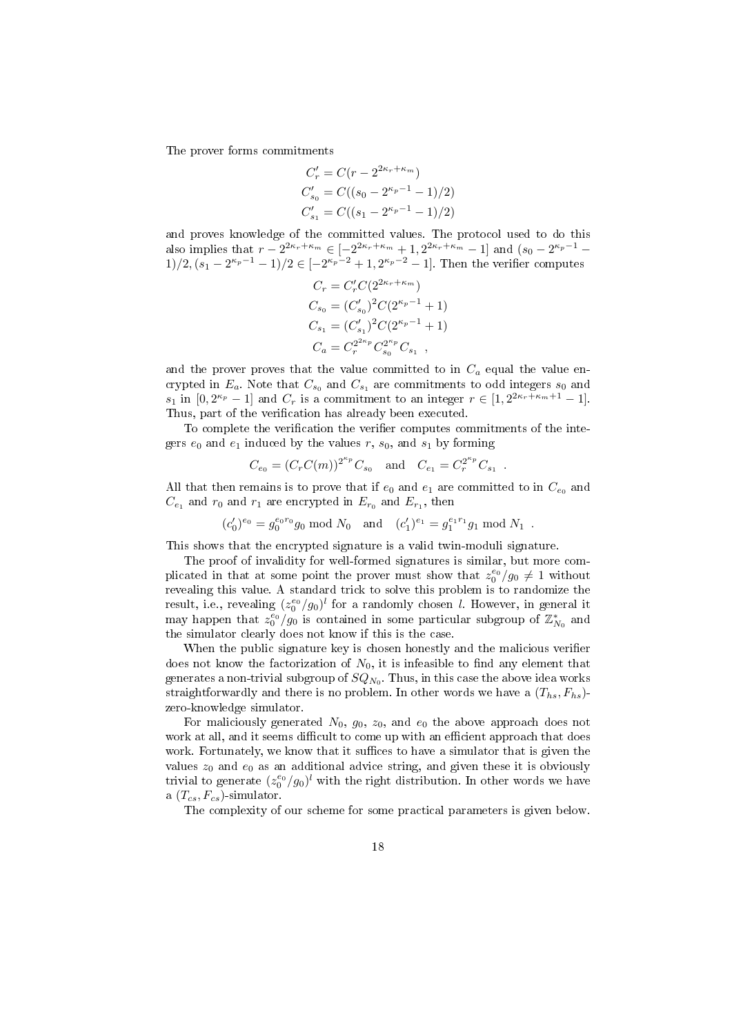The prover forms commitments

$$
C'_r = C(r - 2^{2\kappa_r + \kappa_m})
$$
  
\n
$$
C'_{s_0} = C((s_0 - 2^{\kappa_p - 1} - 1)/2)
$$
  
\n
$$
C'_{s_1} = C((s_1 - 2^{\kappa_p - 1} - 1)/2)
$$

and proves knowledge of the committed values. The protocol used to do this also implies that  $r - 2^{2\kappa_r + \kappa_m} \in [-2^{\kappa_r + \kappa_m} + 1, 2^{2\kappa_r + \kappa_m} - 1]$  and  $(s_0 - 2^{\kappa_p - 1} 1)/2$ ,  $(s_1 - 2^{\kappa_p - 1} - 1)/2 \in [-2^{\kappa_p - 2} + 1, 2^{\kappa_p - 2} - 1]$ . Then the verifier computes

$$
C_r = C'_r C (2^{2\kappa_r + \kappa_m})
$$
  
\n
$$
C_{s_0} = (C'_{s_0})^2 C (2^{\kappa_p - 1} + 1)
$$
  
\n
$$
C_{s_1} = (C'_{s_1})^2 C (2^{\kappa_p - 1} + 1)
$$
  
\n
$$
C_a = C_r^{2^{2\kappa_p}} C_{s_0}^{2^{\kappa_p}} C_{s_1} ,
$$

and the prover proves that the value committed to in  $C_a$  equal the value encrypted in  $E_a$ . Note that  $C_{s_0}$  and  $C_{s_1}$  are commitments to odd integers  $s_0$  and  $s_1$  in  $[0, 2^{\kappa_p} - 1]$  and  $C_r$  is a commitment to an integer  $r \in [1, 2^{2\kappa_r + \kappa_m + 1} - 1]$ . Thus, part of the verification has already been executed.

To complete the verification the verifier computes commitments of the integers  $e_0$  and  $e_1$  induced by the values r,  $s_0$ , and  $s_1$  by forming

$$
C_{e_0} = (C_r C(m))^{2^{\kappa_p}} C_{s_0}
$$
 and  $C_{e_1} = C_r^{2^{\kappa_p}} C_{s_1}$ .

All that then remains is to prove that if  $e_0$  and  $e_1$  are committed to in  $C_{e_0}$  and  $C_{e_1}$  and  $r_0$  and  $r_1$  are encrypted in  $E_{r_0}$  and  $E_{r_1}$ , then

$$
(c'_0)^{e_0} = g_0^{e_0 r_0} g_0 \bmod N_0
$$
 and  $(c'_1)^{e_1} = g_1^{e_1 r_1} g_1 \bmod N_1$ .

This shows that the encrypted signature is a valid twin-moduli signature.

The proof of invalidity for well-formed signatures is similar, but more complicated in that at some point the prover must show that  $z_0^{e_0}/g_0 \neq 1$  without revealing this value. A standard trick to solve this problem is to randomize the result, i.e., revealing  $(z_0^{e_0}/g_0)^l$  for a randomly chosen l. However, in general it may happen that  $z_0^{e_0}/g_0$  is contained in some particular subgroup of  $\mathbb{Z}_{N_0}^*$  and the simulator clearly does not know if this is the case.

When the public signature key is chosen honestly and the malicious verifier does not know the factorization of  $N_0$ , it is infeasible to find any element that generates a non-trivial subgroup of  $SQ_{N_0}.$  Thus, in this case the above idea works straightforwardly and there is no problem. In other words we have a  $(T_{hs}, F_{hs})$ zero-knowledge simulator.

For maliciously generated  $N_0$ ,  $g_0$ ,  $z_0$ , and  $e_0$  the above approach does not work at all, and it seems difficult to come up with an efficient approach that does work. Fortunately, we know that it suffices to have a simulator that is given the values  $z_0$  and  $e_0$  as an additional advice string, and given these it is obviously trivial to generate  $(z_0^{e_0}/g_0)^l$  with the right distribution. In other words we have a  $(T_{cs}, F_{cs})$ -simulator.

The complexity of our scheme for some practical parameters is given below.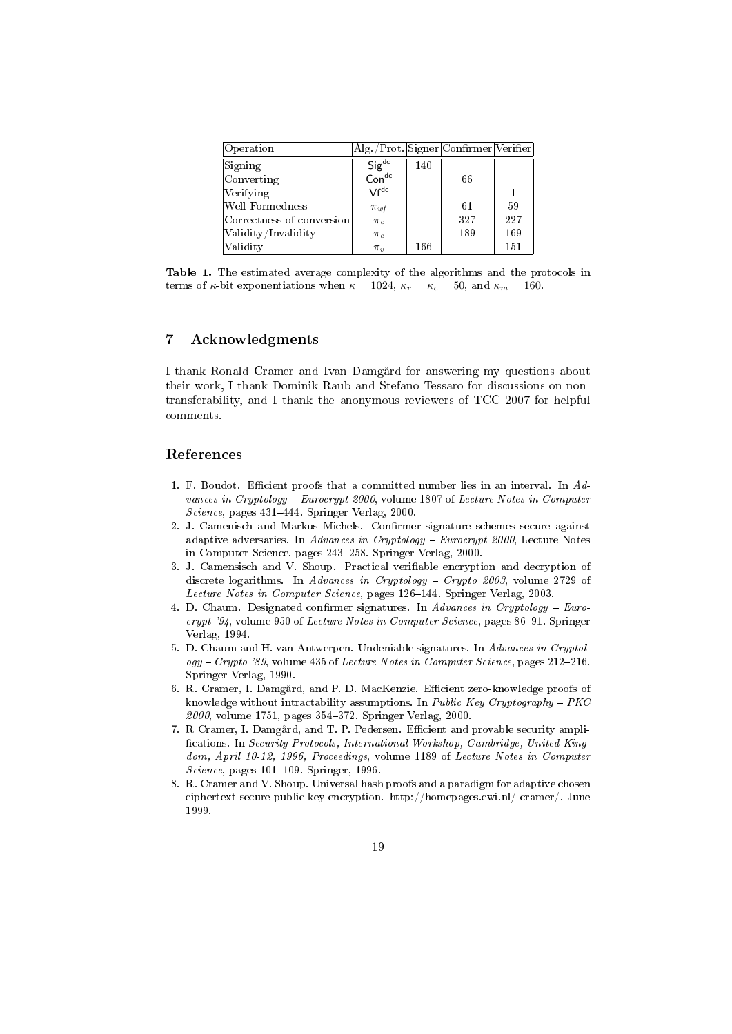| Operation                 | Alg./Prot. Signer Confirmer Verifier |     |     |     |
|---------------------------|--------------------------------------|-----|-----|-----|
| Signing                   | $\frac{Sig^{dc}}{Con^{dc}}$          | 140 |     |     |
| Converting                |                                      |     | 66  |     |
| Verifying                 | $Vf^{dc}$                            |     |     | 1   |
| Well-Formedness           | $\pi_{wf}$                           |     | 61  | 59  |
| Correctness of conversion | $\pi_c$                              |     | 327 | 227 |
| Validity/Invalidity       | $\pi_e$                              |     | 189 | 169 |
| Validity                  | $\pi_{v}$                            | 166 |     | 151 |

Table 1. The estimated average complexity of the algorithms and the protocols in terms of  $\kappa$ -bit exponentiations when  $\kappa = 1024$ ,  $\kappa_r = \kappa_c = 50$ , and  $\kappa_m = 160$ .

# 7 Acknowledgments

I thank Ronald Cramer and Ivan Damgård for answering my questions about their work, I thank Dominik Raub and Stefano Tessaro for discussions on nontransferability, and I thank the anonymous reviewers of TCC 2007 for helpful comments.

## References

- 1. F. Boudot. Efficient proofs that a committed number lies in an interval. In Advances in Cryptology - Eurocrypt 2000, volume 1807 of Lecture Notes in Computer Science, pages 431–444. Springer Verlag, 2000.
- 2. J. Camenisch and Markus Michels. Confirmer signature schemes secure against adaptive adversaries. In Advances in Cryptology - Eurocrypt 2000, Lecture Notes in Computer Science, pages 243-258. Springer Verlag, 2000.
- 3. J. Camensisch and V. Shoup. Practical veriable encryption and decryption of discrete logarithms. In Advances in Cryptology - Crypto 2003, volume 2729 of Lecture Notes in Computer Science, pages 126-144. Springer Verlag, 2003.
- 4. D. Chaum. Designated confirmer signatures. In Advances in Cryptology Eurocrypt '94, volume 950 of Lecture Notes in Computer Science, pages  $86-91$ . Springer Verlag, 1994.
- 5. D. Chaum and H. van Antwerpen. Undeniable signatures. In Advances in Cryptol $ogy - Crypto$  '89, volume 435 of *Lecture Notes in Computer Science*, pages  $212-216$ . Springer Verlag, 1990.
- 6. R. Cramer, I. Damgård, and P. D. MacKenzie. Efficient zero-knowledge proofs of knowledge without intractability assumptions. In Public Key Cryptography -  $PKC$ 2000, volume 1751, pages 354372. Springer Verlag, 2000.
- 7. R Cramer, I. Damgård, and T. P. Pedersen. Efficient and provable security amplifications. In Security Protocols, International Workshop, Cambridge, United Kingdom, April 10-12, 1996, Proceedings, volume 1189 of Lecture Notes in Computer  $Science$ , pages 101-109. Springer, 1996.
- 8. R. Cramer and V. Shoup. Universal hash proofs and a paradigm for adaptive chosen ciphertext secure public-key encryption. http://homepages.cwi.nl/ cramer/, June 1999.